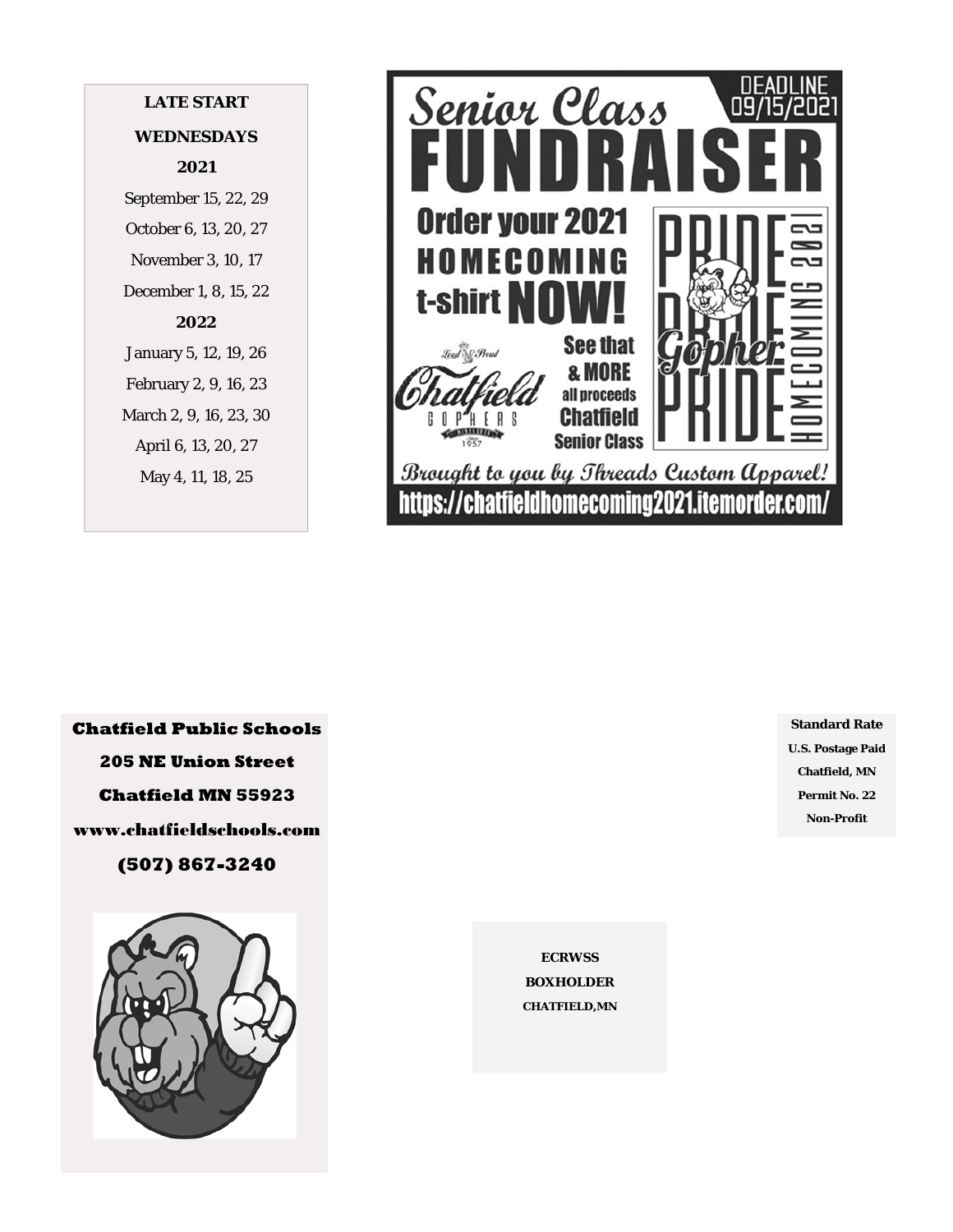# **LATE START WEDNESDAYS 2021**  September 15, 22, 29

October 6, 13, 20, 27 November 3, 10, 17 December 1, 8, 15, 22 **2022**  January 5, 12, 19, 26 February 2, 9, 16, 23 March 2, 9, 16, 23, 30 April 6, 13, 20, 27 May 4, 11, 18, 25



**Chatfield Public Schools 205 NE Union Street Chatfield MN 55923**  www.chatfieldschools.com **(507) 867-3240** 



**Standard Rate U.S. Postage Paid Chatfield, MN Permit No. 22 Non-Profit** 

**ECRWSS BOXHOLDER CHATFIELD,MN**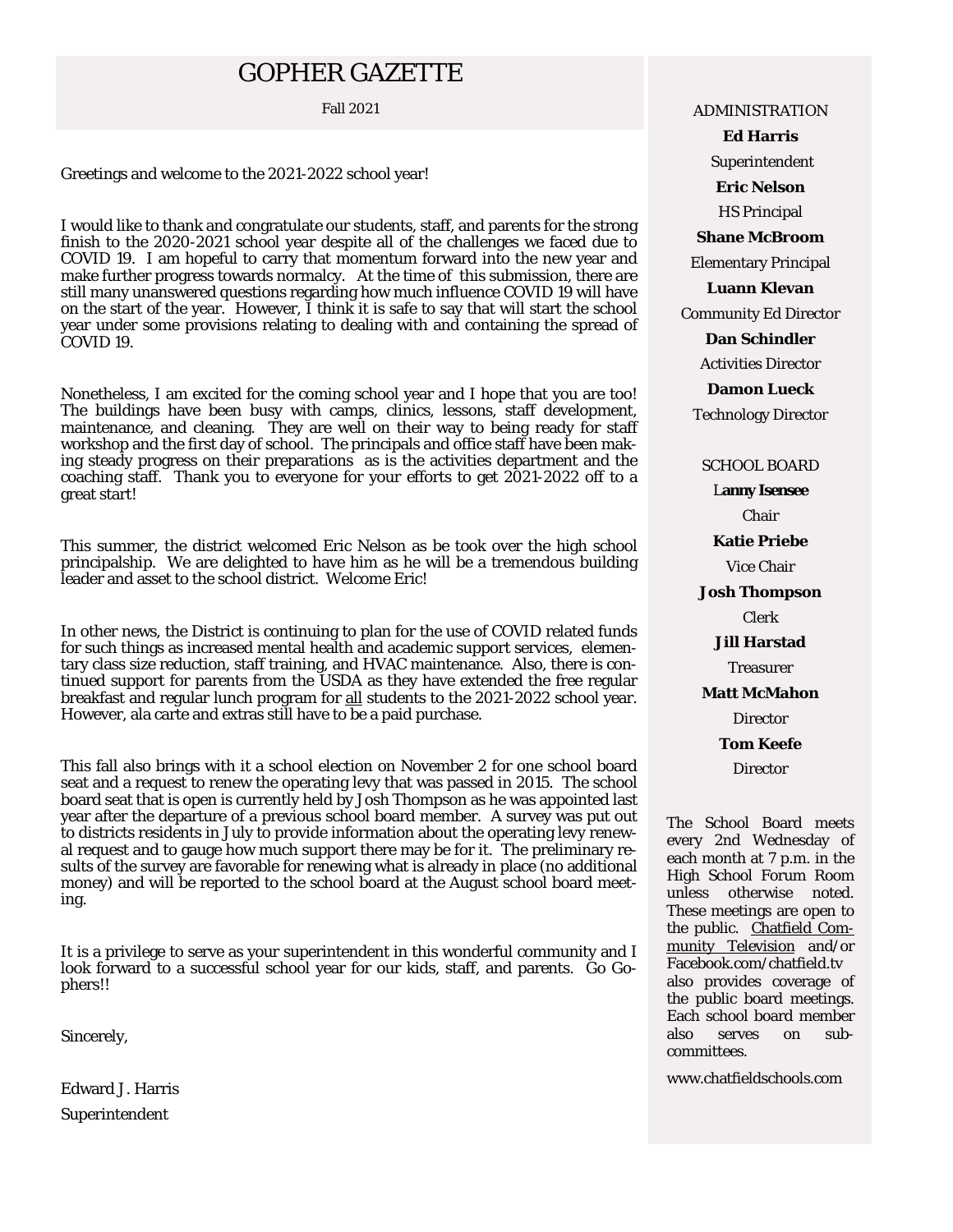# GOPHER GAZETTE

Greetings and welcome to the 2021-2022 school year!

I would like to thank and congratulate our students, staff, and parents for the strong finish to the 2020-2021 school year despite all of the challenges we faced due to COVID 19. I am hopeful to carry that momentum forward into the new year and make further progress towards normalcy. At the time of this submission, there are still many unanswered questions regarding how much influence COVID 19 will have on the start of the year. However, I think it is safe to say that will start the school year under some provisions relating to dealing with and containing the spread of COVID 19.

Nonetheless, I am excited for the coming school year and I hope that you are too! The buildings have been busy with camps, clinics, lessons, staff development, maintenance, and cleaning. They are well on their way to being ready for staff workshop and the first day of school. The principals and office staff have been making steady progress on their preparations as is the activities department and the coaching staff. Thank you to everyone for your efforts to get 2021-2022 off to a great start!

This summer, the district welcomed Eric Nelson as be took over the high school principalship. We are delighted to have him as he will be a tremendous building leader and asset to the school district. Welcome Eric!

In other news, the District is continuing to plan for the use of COVID related funds for such things as increased mental health and academic support services, elementary class size reduction, staff training, and HVAC maintenance. Also, there is continued support for parents from the USDA as they have extended the free regular breakfast and regular lunch program for all students to the 2021-2022 school year. However, ala carte and extras still have to be a paid purchase.

This fall also brings with it a school election on November 2 for one school board seat and a request to renew the operating levy that was passed in 2015. The school board seat that is open is currently held by Josh Thompson as he was appointed last year after the departure of a previous school board member. A survey was put out to districts residents in July to provide information about the operating levy renewal request and to gauge how much support there may be for it. The preliminary results of the survey are favorable for renewing what is already in place (no additional money) and will be reported to the school board at the August school board meeting.

It is a privilege to serve as your superintendent in this wonderful community and I look forward to a successful school year for our kids, staff, and parents. Go Gophers!!

Sincerely,

Edward J. Harris Superintendent

Fall 2021 **ADMINISTRATION** 

**Ed Harris**  Superintendent **Eric Nelson**  HS Principal **Shane McBroom**  Elementary Principal **Luann Klevan**  Community Ed Director **Dan Schindler**  Activities Director **Damon Lueck** 

Technology Director

SCHOOL BOARD

L**anny Isensee** Chair **Katie Priebe**  Vice Chair **Josh Thompson**  Clerk **Jill Harstad**  Treasurer

**Matt McMahon** 

**Director** 

**Tom Keefe** 

**Director** 

The School Board meets every 2nd Wednesday of each month at 7 p.m. in the High School Forum Room unless otherwise noted. These meetings are open to the public. Chatfield Community Television and/or Facebook.com/chatfield.tv also provides coverage of the public board meetings. Each school board member also serves on subcommittees.

www.chatfieldschools.com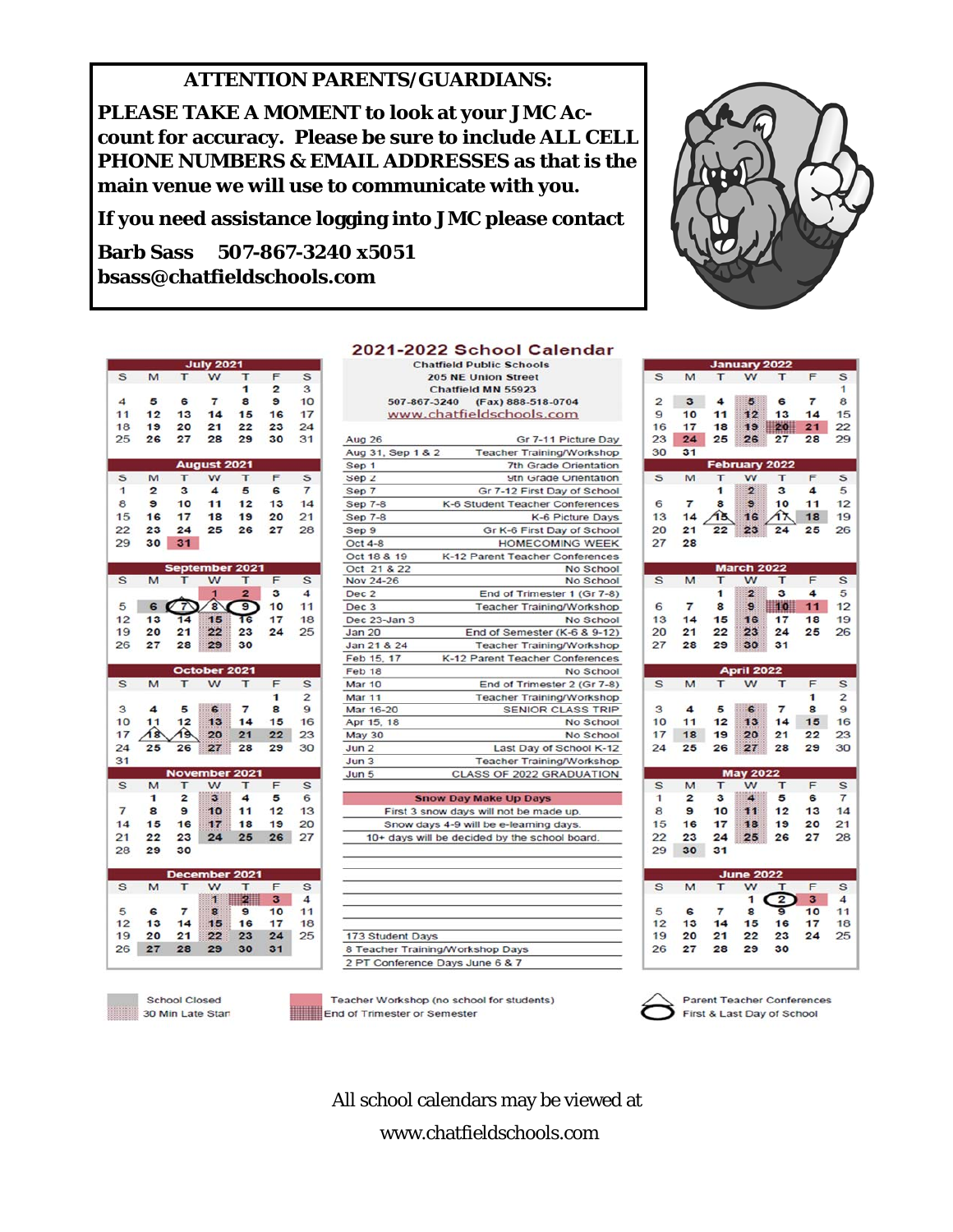## **ATTENTION PARENTS/GUARDIANS:**

**PLEASE TAKE A MOMENT to look at your JMC Account for accuracy. Please be sure to include ALL CELL PHONE NUMBERS & EMAIL ADDRESSES as that is the main venue we will use to communicate with you.** 

**If you need assistance logging into JMC please contact** 

**Barb Sass 507-867-3240 x5051 bsass@chatfieldschools.com** 

|                   |                |                | <b>July 2021</b>   |                            |                 |                  |
|-------------------|----------------|----------------|--------------------|----------------------------|-----------------|------------------|
| S                 | M              | т              | w                  | т                          | F               | S                |
|                   |                |                |                    | 1                          | $\overline{2}$  | 3                |
| $\boldsymbol{A}$  | 5              | 6              | $\overline{7}$     | 8                          | 9               | 10               |
| 11                | 12             | 13             | 14                 | 15                         | 16              | 17               |
| 18                | 19             | 20             | 21                 | 22                         | 23              | 24               |
| 25                | 26             | 27             | 28                 | 29                         | 30              | 31               |
|                   |                |                |                    |                            |                 |                  |
|                   |                |                | <b>August 2021</b> |                            |                 |                  |
|                   |                |                |                    |                            |                 |                  |
| S                 | M.             | т              | w                  | т                          | F               | S                |
| $\mathbf{1}$      | $\overline{2}$ | 3              | 4                  | 5                          | 6               | $\overline{7}$   |
| 8                 | $\mathbf{9}$   | 10             | 11                 | 12                         | 13              | 14               |
| 15                | 16             | 17             | 18                 | 19                         | 20              | 21               |
| 22                | 23             | 24             | 25                 | 26                         | 27              | 28               |
| 29                | 30             | 31             |                    |                            |                 |                  |
|                   |                |                |                    |                            |                 |                  |
|                   |                |                |                    | <b>September 2021</b>      |                 |                  |
| S                 | M              |                | w                  | т                          | F               | S                |
|                   |                |                | 1                  | $\overline{2}$             | з               | $\boldsymbol{A}$ |
| 5                 | 6              | 7              | $\bf{a}$           | $\overline{\mathbf{s}}$    | 10              | 11               |
| 12                | 13             | 14             | 15                 | 16                         | 17 <sup>7</sup> | 18               |
|                   |                |                |                    |                            |                 | 25               |
| 19                | 20             | 21             | 22                 | 23                         | 24              |                  |
| 26                | 27             | 28             | 29 <sup>1</sup>    | 30                         |                 |                  |
|                   |                |                |                    |                            |                 |                  |
|                   |                |                |                    |                            |                 |                  |
|                   |                |                | October 2021       |                            |                 |                  |
| S                 | M              | т              | w                  | т                          | F               | S                |
|                   |                |                |                    |                            | 1               | $\overline{2}$   |
| 3                 | $\overline{4}$ |                | 5 6                | $\overline{7}$             | 8               | 9                |
| 10                | 11             | 12             | 13                 | 14                         | 15              | 16               |
| 17                | 18             | 19             | 20                 | 21                         | 22              | 23               |
|                   |                |                |                    |                            |                 |                  |
| 24                | 25             | 26             | 27                 | 28                         | 29              | 30               |
| 31                |                |                |                    |                            |                 |                  |
|                   |                |                |                    | <b>November 2021</b>       |                 |                  |
| s                 | M              | T              | w                  | т                          | F               | S                |
|                   | 1              | $\overline{2}$ | $3^{\circ}$        | 4                          | 5               | 6                |
| $\overline{7}$    | 8              | 9              | 10 <sup>1</sup>    | 11                         | 12              | 13               |
| 14                | 15             | 16             | 17 <sup>2</sup>    | 18                         | 19              | 20               |
| 21                | 22             | 23             | 24                 | 25                         | 26              | 27               |
| 28                | 29             | 30             |                    |                            |                 |                  |
|                   |                |                |                    |                            |                 |                  |
|                   |                |                |                    | December 2021              |                 |                  |
| S                 | M              |                | w                  |                            | F               | S                |
|                   |                |                | 1                  | $\overline{\phantom{a}}$ 2 | 3               | 4                |
| 5                 | 6              | $\overline{7}$ | 8                  | Э                          | 10              | 11               |
| $12 \overline{ }$ | 13             | 14             | 15 <sub>1</sub>    | 16                         | 17              | 18               |
| 19                | 20             | 21             | $22 \,$            | 23                         | 24              | 25               |
| 26                | 27             | 28             | 29                 | 30                         | 31              |                  |

|                 | 25 26                   |                | 27 28 29                |                       | 30              | 31             |
|-----------------|-------------------------|----------------|-------------------------|-----------------------|-----------------|----------------|
|                 |                         |                | <b>August 2021</b>      |                       |                 |                |
| S               | M                       | T.             | w                       | T.                    | F               | s              |
| $\mathbf{1}$    | $\overline{2}$          | $\mathbf{3}$   | $\overline{4}$          | 5                     | 6               | $\overline{7}$ |
| 8               | $\mathbf{9}$            | 10             | 11                      | 12                    | 13              | 14             |
| 15              | 16                      | 17             | 18                      | 19                    | 20 <sub>2</sub> | 21             |
| 22              | 23                      |                | 24 25                   | 26                    | 27              | 28             |
| 29              | 30                      | 31             |                         |                       |                 |                |
|                 |                         |                |                         | <b>September 2021</b> |                 |                |
| S               | M                       |                | w                       | т                     | F               | S              |
|                 |                         |                | $\blacksquare$          | $\overline{2}$        | 3               | $\overline{a}$ |
| $5\overline{)}$ | 6                       | 7<br>Ø         | $\overline{\mathbf{g}}$ | 9                     | 10 <sup>1</sup> | 11             |
| 12              | 13                      | 14             | 15                      | 16                    | 17              | 18             |
| 19              | 20                      | 21             | 22                      | 23                    | 24              | 25             |
| 26              | 27                      | 28             | 29                      | 30                    |                 |                |
|                 |                         |                | October 2021            |                       |                 |                |
| S               | M                       | т              | W                       | т                     | F               | S              |
|                 |                         |                |                         |                       | 1               | $\overline{2}$ |
| 3               | $\overline{4}$          |                | 5 6 7                   |                       | 8               | 9              |
| 10              | 11                      | 12             | 13                      | 14                    | 15              | 16             |
| 17              | 48                      | 19             | 20                      | 21                    | 22              | 23             |
| 24              | 25                      | 26             | 27                      | 28                    | 29              | 30             |
| 31              |                         |                |                         |                       |                 |                |
|                 |                         |                |                         | <b>November 2021</b>  |                 |                |
| $\mathbf{s}$    | M                       | т              | w                       | T.                    | F               | S              |
|                 | 1                       | $\overline{2}$ | 3 <sup>1</sup>          | 4                     | 5               | 6              |
| $\overline{7}$  | $\overline{\mathbf{8}}$ | $\mathbf{9}$   | 10 11                   |                       | 12              | 13             |
|                 | 14 15                   | 16             |                         | 17 18                 | 19              | 20             |
|                 | 21 22                   | 23             | 24                      | 25                    | 26              | 27             |
| 28              | 29                      | 30             |                         |                       |                 |                |
|                 |                         |                |                         | December 2021         |                 |                |
| $\sim$          |                         |                |                         |                       | $\overline{ }$  |                |

School Closed 30 Min Late Stan

## 2021-2022 School Calendar

**Chatfield Public Schools** 205 NE Union Street Chatfield MN 55923 507-867-3240 (Fax) 888-518-0704 www.chatfieldschools.com

| Aug 26            | Gr 7-11 Picture Day              |
|-------------------|----------------------------------|
| Aug 31, Sep 1 & 2 | <b>Teacher Training/Workshop</b> |
| Sep 1             | <b>7th Grade Orientation</b>     |
| Sep <sub>2</sub>  | 9th Grade Orientation            |
| Sep 7             | Gr 7-12 First Day of School      |
| <b>Sep 7-8</b>    | K-6 Student Teacher Conferences  |
| <b>Sep 7-8</b>    | K-6 Picture Days                 |
| Sep 9             | Gr K-6 First Day of School       |
| Oct 4-8           | <b>HOMECOMING WEEK</b>           |
| Oct 18 & 19       | K-12 Parent Teacher Conferences  |
| Oct 21 & 22       | No School                        |
| Nov 24-26         | No School                        |
| Dec <sub>2</sub>  | End of Trimester 1 (Gr 7-8)      |
| Dec <sub>3</sub>  | <b>Teacher Training/Workshop</b> |
| Dec 23-Jan 3      | No School                        |
| <b>Jan 20</b>     | End of Semester (K-6 & 9-12)     |
| Jan 21 & 24       | <b>Teacher Training/Workshop</b> |
| Feb 15, 17        | K-12 Parent Teacher Conferences  |
| Feb 18            | No School                        |
| Mar 10            | End of Trimester 2 (Gr 7-8)      |
| <b>Mar 11</b>     | <b>Teacher Training/Workshop</b> |
| Mar 16-20         | <b>SENIOR CLASS TRIP</b>         |
| Apr 15, 18        | No School                        |
| <b>May 30</b>     | No School                        |
| Jun <sub>2</sub>  | Last Day of School K-12          |
| Jun <sub>3</sub>  | <b>Teacher Training/Workshop</b> |
| Jun 5             | <b>CLASS OF 2022 GRADUATION</b>  |

**Snow Day Make Up Days** First 3 snow days will not be made up. Snow days 4-9 will be e-learning days.

10+ days will be decided by the school board.

| 173 Student Days                 |  |
|----------------------------------|--|
| 8 Teacher Training/Workshop Days |  |
|                                  |  |

Teacher Workshop (no school for students) End of Trimester or Semester

**Parent Teacher Conferences** First & Last Day of School

All school calendars may be viewed at www.chatfieldschools.com



**January 2022** 

S

S M T W T

| $\overline{2}$   | 3              | $\overline{4}$  |                          | 5 6                     | $\overline{7}$          | 8                   |
|------------------|----------------|-----------------|--------------------------|-------------------------|-------------------------|---------------------|
| 9                |                | 11              | 12 <sup>12</sup>         | 13                      | 14                      | 15                  |
| 16               | 10<br>17       | 18              |                          | 19 20                   |                         | 22                  |
|                  |                |                 |                          |                         | 21                      | 29                  |
| 23               | 24             | 25              | 26 <sup>°</sup>          | 27                      | 28                      |                     |
| 30               | 31             |                 |                          |                         |                         |                     |
|                  |                |                 | February 2022            |                         |                         |                     |
| S                | M              | т               | w                        | T                       | F                       | S                   |
|                  |                | 1               | $\overline{2}$           | 3 <sup>1</sup>          | 4                       | 5                   |
| 6                | $\overline{7}$ | 8               | $\mathbf{9}$             | 10                      | 11                      | 12                  |
| 13               | 14             | ঙি              | 16                       | í٦                      | 18                      | 19                  |
| 20               | 21             | 22              | 23                       | 24                      | 25                      | 26                  |
| 27               | 28             |                 |                          |                         |                         |                     |
|                  |                |                 |                          |                         |                         |                     |
|                  |                |                 | <b>March 2022</b>        |                         |                         |                     |
| S                | M              | т               | W                        | $\overline{\mathsf{T}}$ | F                       | S                   |
|                  |                | 1               | $\blacksquare$ 2         | 3                       | $\overline{\mathbf{4}}$ | 5                   |
| 6                | $\overline{7}$ | 8               |                          | $9 \t10 \t11$           |                         | 12                  |
| 13               | 14             | 15              | 16                       | 17                      | 18                      | 19                  |
| 20               | 21             | 22              | 23                       | 24                      | 25                      | 26                  |
| 27               | 28             | 29              | 30 <sup>°</sup>          | 31                      |                         |                     |
|                  |                |                 |                          |                         |                         |                     |
|                  |                |                 | <b>April 2022</b>        |                         |                         |                     |
| $\mathbf{s}$     | M              |                 | T W T                    |                         | F                       | S                   |
|                  |                |                 |                          |                         | 1                       | 2                   |
|                  |                |                 |                          |                         |                         |                     |
|                  |                |                 |                          |                         |                         |                     |
| 3                | $\overline{4}$ | 5               |                          | 6 7                     | 8                       | $\mathbf{9}$        |
| 10               | 11             | 12              | 13                       | 14                      | 15                      |                     |
| 17               | 18             | 19              | 20                       | 21                      | 22                      |                     |
| 24               | 25             | 26              | 27                       | 28                      | 29                      | 30                  |
|                  |                |                 |                          |                         |                         |                     |
|                  |                |                 | <b>May 2022</b>          |                         |                         | 16<br>23            |
| S                | M              | T               | W                        | т                       | F                       | S                   |
| $\mathbf{1}$     | $\overline{2}$ | 3               | $\overline{\phantom{a}}$ | 5                       | 6                       | $\overline{7}$      |
| 8                | э              | 10 <sup>1</sup> | 11                       | 12                      | 13                      |                     |
| 15               | 16             | 17              | 18                       | 19                      | 20                      |                     |
| 22               | 23             | 24              | 25 <sup>1</sup>          | 26                      | 27                      |                     |
| 29               | 30             | 31              |                          |                         |                         |                     |
|                  |                |                 |                          |                         |                         |                     |
|                  |                |                 | <b>June 2022</b>         |                         |                         |                     |
| S                | M              | т               | w                        | т                       | F                       | 14<br>21<br>28<br>S |
|                  |                |                 | 1                        | $\overline{2}$          | $\overline{\mathbf{3}}$ | $\overline{4}$      |
| 5                | 6              | $\overline{7}$  | 8                        | 9                       | 10                      | 11                  |
| 12 <sup>12</sup> | 13             | 14              | 15                       | 16                      | 17                      |                     |
| 19<br>26         | 20<br>27       | 21<br>28        | 22<br>29                 | 23<br>30                | 24                      | 18<br>25            |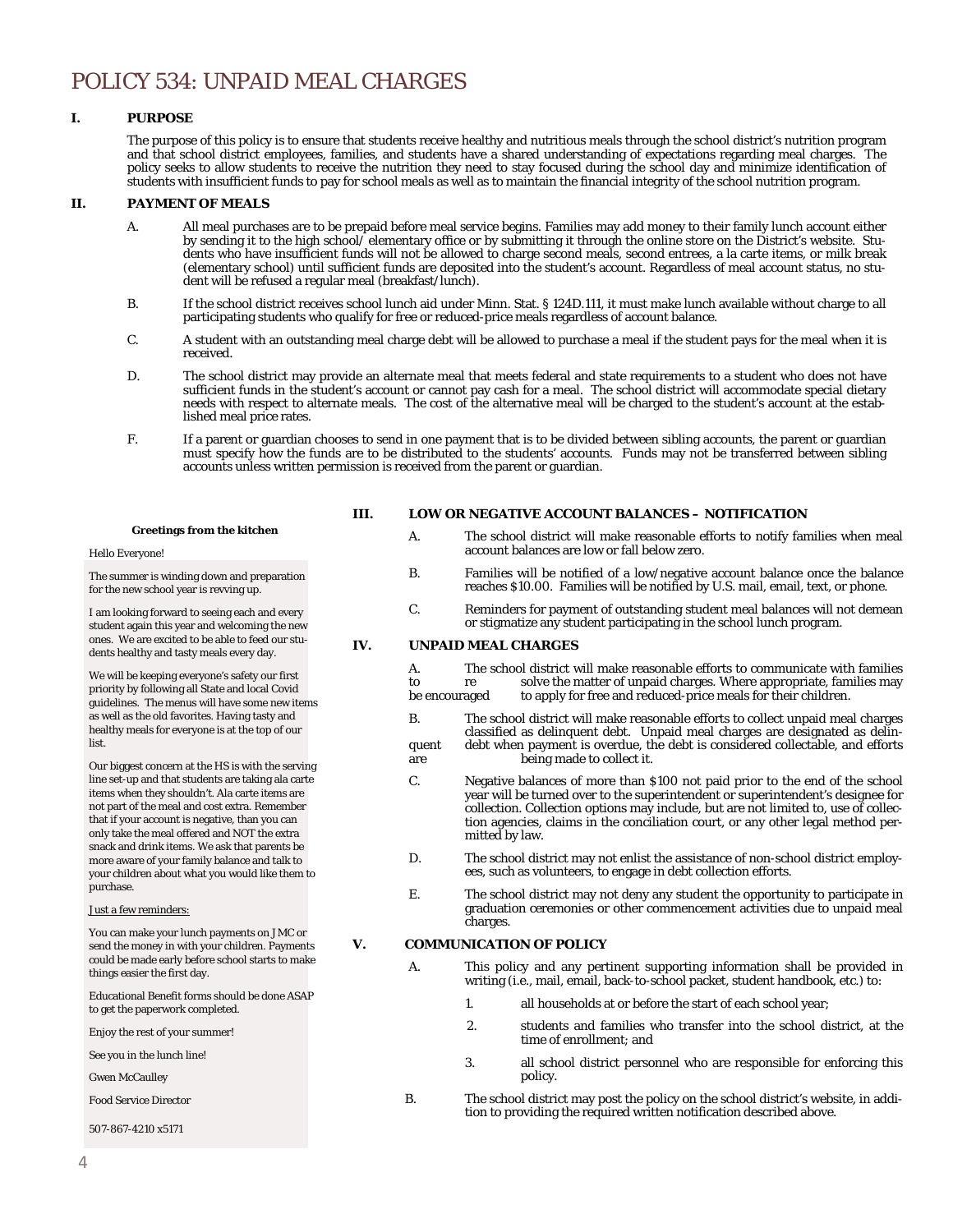# POLICY 534: UNPAID MEAL CHARGES

#### **I. PURPOSE**

The purpose of this policy is to ensure that students receive healthy and nutritious meals through the school district's nutrition program and that school district employees, families, and students have a shared understanding of expectations regarding meal charges. The policy seeks to allow students to receive the nutrition they need to stay focused during the school day and minimize identification of students with insufficient funds to pay for school meals as well as to maintain the financial integrity of the school nutrition program.

#### **II. PAYMENT OF MEALS**

- A. All meal purchases are to be prepaid before meal service begins. Families may add money to their family lunch account either by sending it to the high school/ elementary office or by submitting it through the online store on the District's website. Students who have insufficient funds will not be allowed to charge second meals, second entrees, a la carte items, or milk break (elementary school) until sufficient funds are deposited into the student's account. Regardless of meal account status, no student will be refused a regular meal (breakfast/lunch).
- B. If the school district receives school lunch aid under Minn. Stat. § 124D.111, it must make lunch available without charge to all participating students who qualify for free or reduced-price meals regardless of account balance.
- C. A student with an outstanding meal charge debt will be allowed to purchase a meal if the student pays for the meal when it is received.
- D. The school district may provide an alternate meal that meets federal and state requirements to a student who does not have sufficient funds in the student's account or cannot pay cash for a meal. The school district will accommodate special dietary needs with respect to alternate meals. The cost of the alternative meal will be charged to the student's account at the established meal price rates.
- F. If a parent or guardian chooses to send in one payment that is to be divided between sibling accounts, the parent or guardian must specify how the funds are to be distributed to the students' accounts. Funds may not be transferred between sibling accounts unless written permission is received from the parent or guardian.

#### **III. LOW OR NEGATIVE ACCOUNT BALANCES – NOTIFICATION**

**Greetings from the kitchen** 

#### Hello Everyone!

The summer is winding down and preparation for the new school year is revving up.

I am looking forward to seeing each and every student again this year and welcoming the new ones. We are excited to be able to feed our students healthy and tasty meals every day.

We will be keeping everyone's safety our first priority by following all State and local Covid guidelines. The menus will have some new items as well as the old favorites. Having tasty and healthy meals for everyone is at the top of our list.

Our biggest concern at the HS is with the serving line set-up and that students are taking ala carte items when they shouldn't. Ala carte items are not part of the meal and cost extra. Remember that if your account is negative, than you can only take the meal offered and NOT the extra snack and drink items. We ask that parents be more aware of your family balance and talk to your children about what you would like them to purchase.

#### Just a few reminders:

You can make your lunch payments on JMC or send the money in with your children. Payments could be made early before school starts to make things easier the first day.

Educational Benefit forms should be done ASAP to get the paperwork completed.

Enjoy the rest of your summer!

See you in the lunch line!

Gwen McCaulley

Food Service Director

507-867-4210 x5171

- A. The school district will make reasonable efforts to notify families when meal account balances are low or fall below zero.
- B. Families will be notified of a low/negative account balance once the balance reaches \$10.00. Families will be notified by U.S. mail, email, text, or phone.
- C. Reminders for payment of outstanding student meal balances will not demean or stigmatize any student participating in the school lunch program.

#### **IV. UNPAID MEAL CHARGES**

| А.            |    | The school district will make reasonable efforts to communicate with families |
|---------------|----|-------------------------------------------------------------------------------|
| to            | re | solve the matter of unpaid charges. Where appropriate, families may           |
| be encouraged |    | to apply for free and reduced-price meals for their children.                 |

- B. The school district will make reasonable efforts to collect unpaid meal charges classified as delinquent debt. Unpaid meal charges are designated as delinquent debt when payment is overdue, the debt is considered collectable, and efforts are being made to collect it.
- C. Negative balances of more than \$100 not paid prior to the end of the school year will be turned over to the superintendent or superintendent's designee for collection. Collection options may include, but are not limited to, use of collection agencies, claims in the conciliation court, or any other legal method permitted by law.
- D. The school district may not enlist the assistance of non-school district employees, such as volunteers, to engage in debt collection efforts.
- E. The school district may not deny any student the opportunity to participate in graduation ceremonies or other commencement activities due to unpaid meal charges.

#### **V. COMMUNICATION OF POLICY**

- A. This policy and any pertinent supporting information shall be provided in writing (i.e., mail, email, back-to-school packet, student handbook, etc.) to:
	- 1. all households at or before the start of each school year;
	- 2. students and families who transfer into the school district, at the time of enrollment; and
	- 3. all school district personnel who are responsible for enforcing this policy.
- B. The school district may post the policy on the school district's website, in addition to providing the required written notification described above.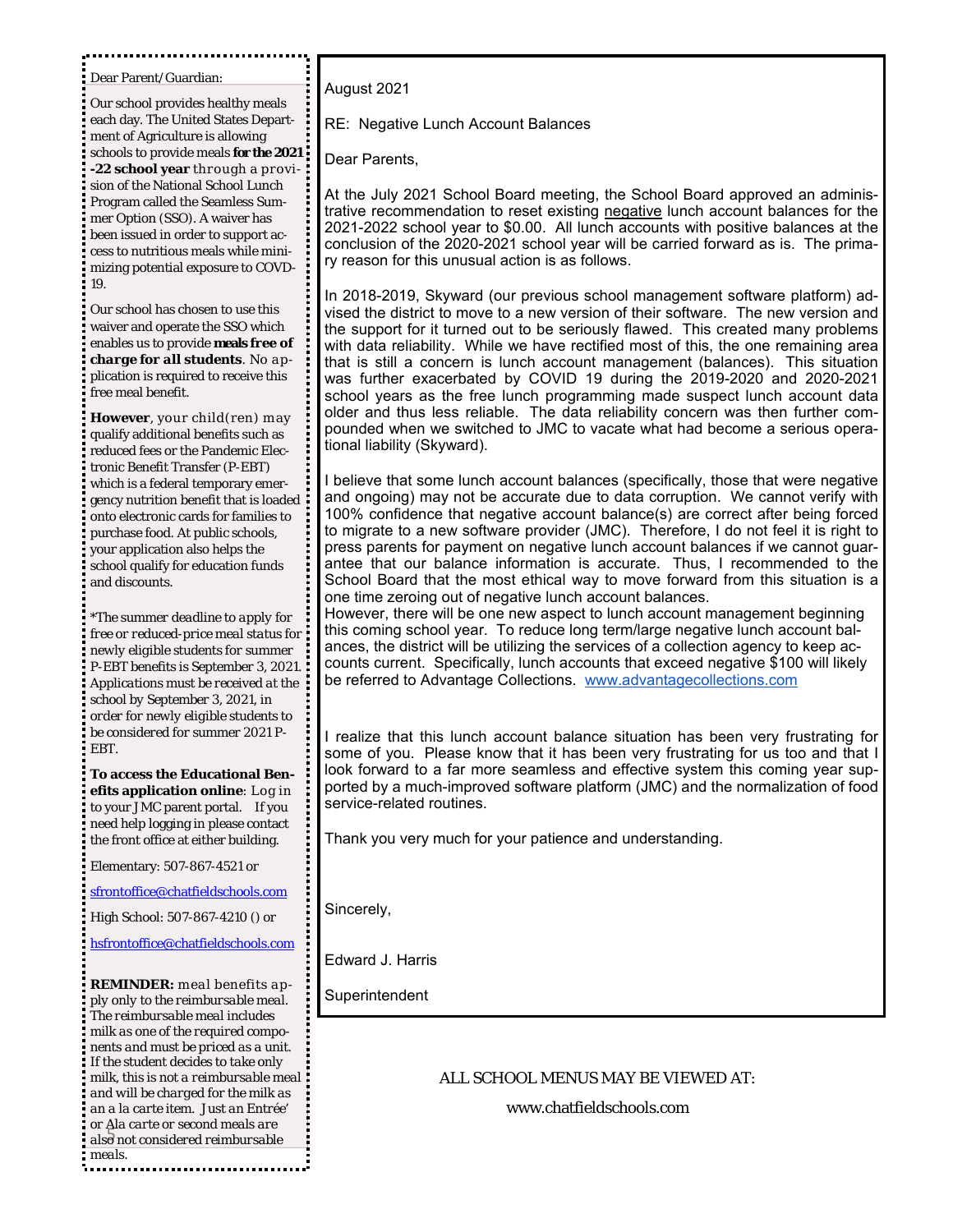Dear Parent/Guardian:

Our school provides healthy meals each day. The United States Department of Agriculture is allowing schools to provide meals **for the 2021 -22 school year** through a provision of the National School Lunch Program called the Seamless Summer Option (SSO). A waiver has been issued in order to support access to nutritious meals while minimizing potential exposure to COVD-19.

Our school has chosen to use this waiver and operate the SSO which enables us to provide *meals free of charge for all students*. No application is required to receive this free meal benefit.

**However**, your child(ren) may qualify additional benefits such as reduced fees or the Pandemic Electronic Benefit Transfer (P-EBT) which is a federal temporary emergency nutrition benefit that is loaded onto electronic cards for families to purchase food. At public schools, your application also helps the school qualify for education funds and discounts.

*\*The summer deadline to apply for free or reduced-price meal status for newly eligible students for summer P-EBT benefits is September 3, 2021. Applications must be received at the school by September 3, 2021, in order for newly eligible students to be considered for summer 2021 P-EBT.*

**To access the Educational Benefits application online**: Log in to your JMC parent portal. If you need help logging in please contact the front office at either building.

Elementary: 507-867-4521 or

sfrontoffice@chatfieldschools.com

High School: 507-867-4210 () or

hsfrontoffice@chatfieldschools.com

or Ala carte or second meals are<br>als<del>o</del> not considered reimbursable *REMINDER: meal benefits apply only to the reimbursable meal. The reimbursable meal includes milk as one of the required components and must be priced as a unit. If the student decides to take only milk, this is not a reimbursable meal and will be charged for the milk as an a la carte item. Just an Entrée' or Ala carte or second meals are meals.* 

August 2021

RE: Negative Lunch Account Balances

Dear Parents,

At the July 2021 School Board meeting, the School Board approved an administrative recommendation to reset existing negative lunch account balances for the 2021-2022 school year to \$0.00. All lunch accounts with positive balances at the conclusion of the 2020-2021 school year will be carried forward as is. The primary reason for this unusual action is as follows.

In 2018-2019, Skyward (our previous school management software platform) advised the district to move to a new version of their software. The new version and the support for it turned out to be seriously flawed. This created many problems with data reliability. While we have rectified most of this, the one remaining area that is still a concern is lunch account management (balances). This situation was further exacerbated by COVID 19 during the 2019-2020 and 2020-2021 school years as the free lunch programming made suspect lunch account data older and thus less reliable. The data reliability concern was then further compounded when we switched to JMC to vacate what had become a serious operational liability (Skyward).

I believe that some lunch account balances (specifically, those that were negative and ongoing) may not be accurate due to data corruption. We cannot verify with 100% confidence that negative account balance(s) are correct after being forced to migrate to a new software provider (JMC). Therefore, I do not feel it is right to press parents for payment on negative lunch account balances if we cannot guarantee that our balance information is accurate. Thus, I recommended to the School Board that the most ethical way to move forward from this situation is a one time zeroing out of negative lunch account balances.

However, there will be one new aspect to lunch account management beginning this coming school year. To reduce long term/large negative lunch account balances, the district will be utilizing the services of a collection agency to keep accounts current. Specifically, lunch accounts that exceed negative \$100 will likely be referred to Advantage Collections. www.advantagecollections.com

I realize that this lunch account balance situation has been very frustrating for some of you. Please know that it has been very frustrating for us too and that I look forward to a far more seamless and effective system this coming year supported by a much-improved software platform (JMC) and the normalization of food service-related routines.

Thank you very much for your patience and understanding.

Sincerely,

Edward J. Harris

Superintendent

### ALL SCHOOL MENUS MAY BE VIEWED AT:

www.chatfieldschools.com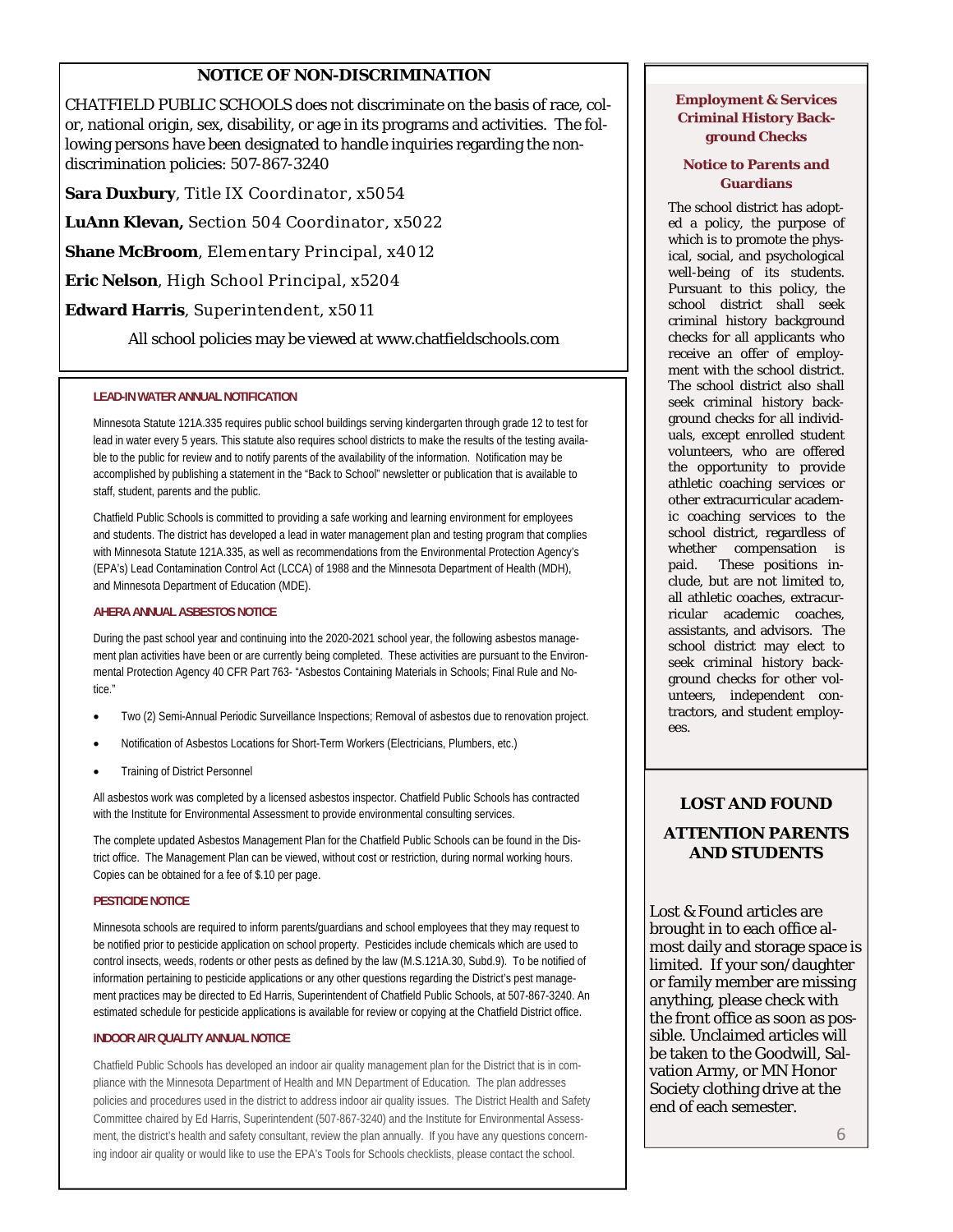## **NOTICE OF NON-DISCRIMINATION**

CHATFIELD PUBLIC SCHOOLS does not discriminate on the basis of race, color, national origin, sex, disability, or age in its programs and activities. The following persons have been designated to handle inquiries regarding the nondiscrimination policies: 507-867-3240

**Sara Duxbury**, Title IX Coordinator, x5054

**LuAnn Klevan,** Section 504 Coordinator, x5022

**Shane McBroom**, Elementary Principal, x4012

**Eric Nelson**, High School Principal, x5204

#### **Edward Harris**, Superintendent, x5011

All school policies may be viewed at www.chatfieldschools.com

#### **LEAD-IN WATER ANNUAL NOTIFICATION**

Minnesota Statute 121A.335 requires public school buildings serving kindergarten through grade 12 to test for lead in water every 5 years. This statute also requires school districts to make the results of the testing available to the public for review and to notify parents of the availability of the information. Notification may be accomplished by publishing a statement in the "Back to School" newsletter or publication that is available to staff, student, parents and the public.

Chatfield Public Schools is committed to providing a safe working and learning environment for employees and students. The district has developed a lead in water management plan and testing program that complies with Minnesota Statute 121A.335, as well as recommendations from the Environmental Protection Agency's (EPA's) Lead Contamination Control Act (LCCA) of 1988 and the Minnesota Department of Health (MDH), and Minnesota Department of Education (MDE).

#### **AHERA ANNUAL ASBESTOS NOTICE**

During the past school year and continuing into the 2020-2021 school year, the following asbestos management plan activities have been or are currently being completed. These activities are pursuant to the Environmental Protection Agency 40 CFR Part 763- "Asbestos Containing Materials in Schools; Final Rule and Notice."

- Two (2) Semi-Annual Periodic Surveillance Inspections; Removal of asbestos due to renovation project.
- Notification of Asbestos Locations for Short-Term Workers (Electricians, Plumbers, etc.)
- Training of District Personnel

All asbestos work was completed by a licensed asbestos inspector. Chatfield Public Schools has contracted with the Institute for Environmental Assessment to provide environmental consulting services.

The complete updated Asbestos Management Plan for the Chatfield Public Schools can be found in the District office. The Management Plan can be viewed, without cost or restriction, during normal working hours. Copies can be obtained for a fee of \$.10 per page.

#### **PESTICIDE NOTICE**

Minnesota schools are required to inform parents/guardians and school employees that they may request to be notified prior to pesticide application on school property. Pesticides include chemicals which are used to control insects, weeds, rodents or other pests as defined by the law (M.S.121A.30, Subd.9). To be notified of information pertaining to pesticide applications or any other questions regarding the District's pest management practices may be directed to Ed Harris, Superintendent of Chatfield Public Schools, at 507-867-3240. An estimated schedule for pesticide applications is available for review or copying at the Chatfield District office.

#### **INDOOR AIR QUALITY ANNUAL NOTICE**

Chatfield Public Schools has developed an indoor air quality management plan for the District that is in compliance with the Minnesota Department of Health and MN Department of Education. The plan addresses policies and procedures used in the district to address indoor air quality issues. The District Health and Safety Committee chaired by Ed Harris, Superintendent (507-867-3240) and the Institute for Environmental Assessment, the district's health and safety consultant, review the plan annually. If you have any questions concerning indoor air quality or would like to use the EPA's Tools for Schools checklists, please contact the school.

#### **Employment & Services Criminal History Background Checks**

#### **Notice to Parents and Guardians**

The school district has adopted a policy, the purpose of which is to promote the physical, social, and psychological well-being of its students. Pursuant to this policy, the school district shall seek criminal history background checks for all applicants who receive an offer of employment with the school district. The school district also shall seek criminal history background checks for all individuals, except enrolled student volunteers, who are offered the opportunity to provide athletic coaching services or other extracurricular academic coaching services to the school district, regardless of whether compensation is paid. These positions include, but are not limited to, all athletic coaches, extracurricular academic coaches, assistants, and advisors. The school district may elect to seek criminal history background checks for other volunteers, independent contractors, and student employees.

## **LOST AND FOUND ATTENTION PARENTS AND STUDENTS**

Lost & Found articles are brought in to each office almost daily and storage space is limited. If your son/daughter or family member are missing anything, please check with the front office as soon as possible. Unclaimed articles will be taken to the Goodwill, Salvation Army, or MN Honor Society clothing drive at the end of each semester.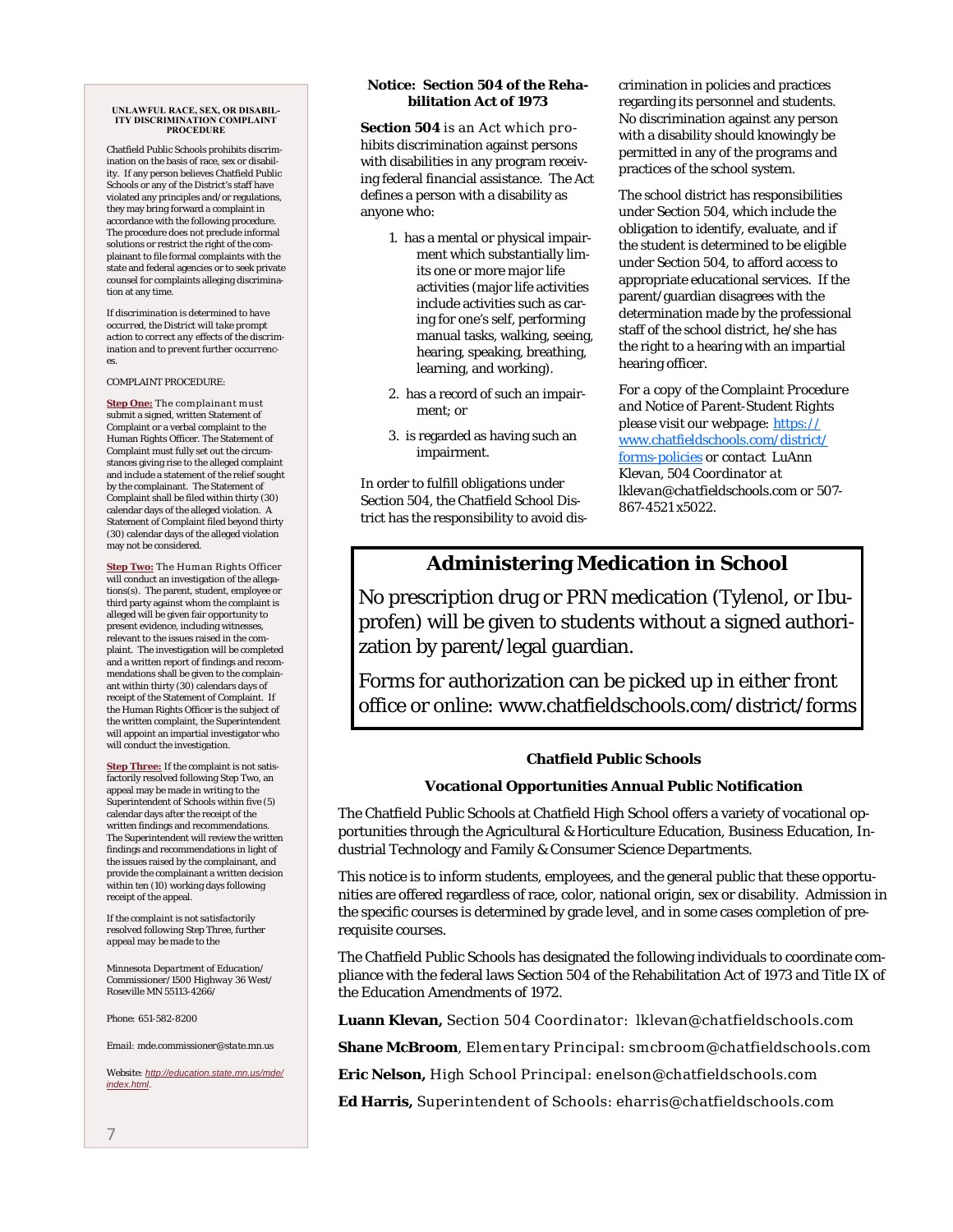#### **UNLAWFUL RACE, SEX, OR DISABIL-ITY DISCRIMINATION COMPLAINT PROCEDURE**

Chatfield Public Schools prohibits discrimination on the basis of race, sex or disability. If any person believes Chatfield Public Schools or any of the District's staff have violated any principles and/or regulations, they may bring forward a complaint in accordance with the following procedure. The procedure does not preclude informal solutions or restrict the right of the complainant to file formal complaints with the state and federal agencies or to seek private counsel for complaints alleging discrimination at any time.

*If discrimination is determined to have occurred, the District will take prompt action to correct any effects of the discrimination and to prevent further occurrences.* 

COMPLAINT PROCEDURE:

**Step One:** The complainant must submit a signed, written Statement of Complaint or a verbal complaint to the Human Rights Officer. The Statement of Complaint must fully set out the circumstances giving rise to the alleged complaint and include a statement of the relief sought by the complainant. The Statement of Complaint shall be filed within thirty (30) calendar days of the alleged violation. A Statement of Complaint filed beyond thirty (30) calendar days of the alleged violation may not be considered.

**Step Two:** The Human Rights Officer will conduct an investigation of the allegations(s). The parent, student, employee or third party against whom the complaint is alleged will be given fair opportunity to present evidence, including witnesses, relevant to the issues raised in the complaint. The investigation will be completed and a written report of findings and recommendations shall be given to the complainant within thirty (30) calendars days of receipt of the Statement of Complaint. If the Human Rights Officer is the subject of the written complaint, the Superintendent will appoint an impartial investigator who will conduct the investigation.

**Step Three:** If the complaint is not satisfactorily resolved following Step Two, an appeal may be made in writing to the Superintendent of Schools within five (5) calendar days after the receipt of the written findings and recommendations. The Superintendent will review the written findings and recommendations in light of the issues raised by the complainant, and provide the complainant a written decision within ten (10) working days following receipt of the appeal.

*If the complaint is not satisfactorily resolved following Step Three, further appeal may be made to the* 

*Minnesota Department of Education/ Commissioner/1500 Highway 36 West/ Roseville MN 55113-4266/* 

*Phone: 651-582-8200* 

*Email: mde.commissioner@state.mn.us* 

*Website: http://education.state.mn.us/mde/ index.html.* 

#### **Notice: Section 504 of the Rehabilitation Act of 1973**

**Section 504** is an Act which prohibits discrimination against persons with disabilities in any program receiving federal financial assistance. The Act defines a person with a disability as anyone who:

- 1. has a mental or physical impairment which substantially limits one or more major life activities (major life activities include activities such as caring for one's self, performing manual tasks, walking, seeing, hearing, speaking, breathing, learning, and working).
- 2. has a record of such an impairment; or
- 3. is regarded as having such an impairment.

In order to fulfill obligations under Section 504, the Chatfield School District has the responsibility to avoid discrimination in policies and practices regarding its personnel and students. No discrimination against any person with a disability should knowingly be permitted in any of the programs and practices of the school system.

The school district has responsibilities under Section 504, which include the obligation to identify, evaluate, and if the student is determined to be eligible under Section 504, to afford access to appropriate educational services. If the parent/guardian disagrees with the determination made by the professional staff of the school district, he/she has the right to a hearing with an impartial hearing officer.

*For a copy of the Complaint Procedure and Notice of Parent-Student Rights please visit our webpage:* https:// www.chatfieldschools.com/district/ forms-policies *or contact LuAnn Klevan, 504 Coordinator at lklevan@chatfieldschools.com or 507- 867-4521 x5022.* 

## **Administering Medication in School**

No prescription drug or PRN medication (Tylenol, or Ibuprofen) will be given to students without a signed authorization by parent/legal guardian.

Forms for authorization can be picked up in either front office or online: www.chatfieldschools.com/district/forms

### **Chatfield Public Schools**

### **Vocational Opportunities Annual Public Notification**

The Chatfield Public Schools at Chatfield High School offers a variety of vocational opportunities through the Agricultural & Horticulture Education, Business Education, Industrial Technology and Family & Consumer Science Departments.

This notice is to inform students, employees, and the general public that these opportunities are offered regardless of race, color, national origin, sex or disability. Admission in the specific courses is determined by grade level, and in some cases completion of prerequisite courses.

The Chatfield Public Schools has designated the following individuals to coordinate compliance with the federal laws Section 504 of the Rehabilitation Act of 1973 and Title IX of the Education Amendments of 1972.

**Luann Klevan,** Section 504 Coordinator: lklevan@chatfieldschools.com

**Shane McBroom**, Elementary Principal: smcbroom@chatfieldschools.com

**Eric Nelson,** High School Principal: enelson@chatfieldschools.com

**Ed Harris,** Superintendent of Schools: eharris@chatfieldschools.com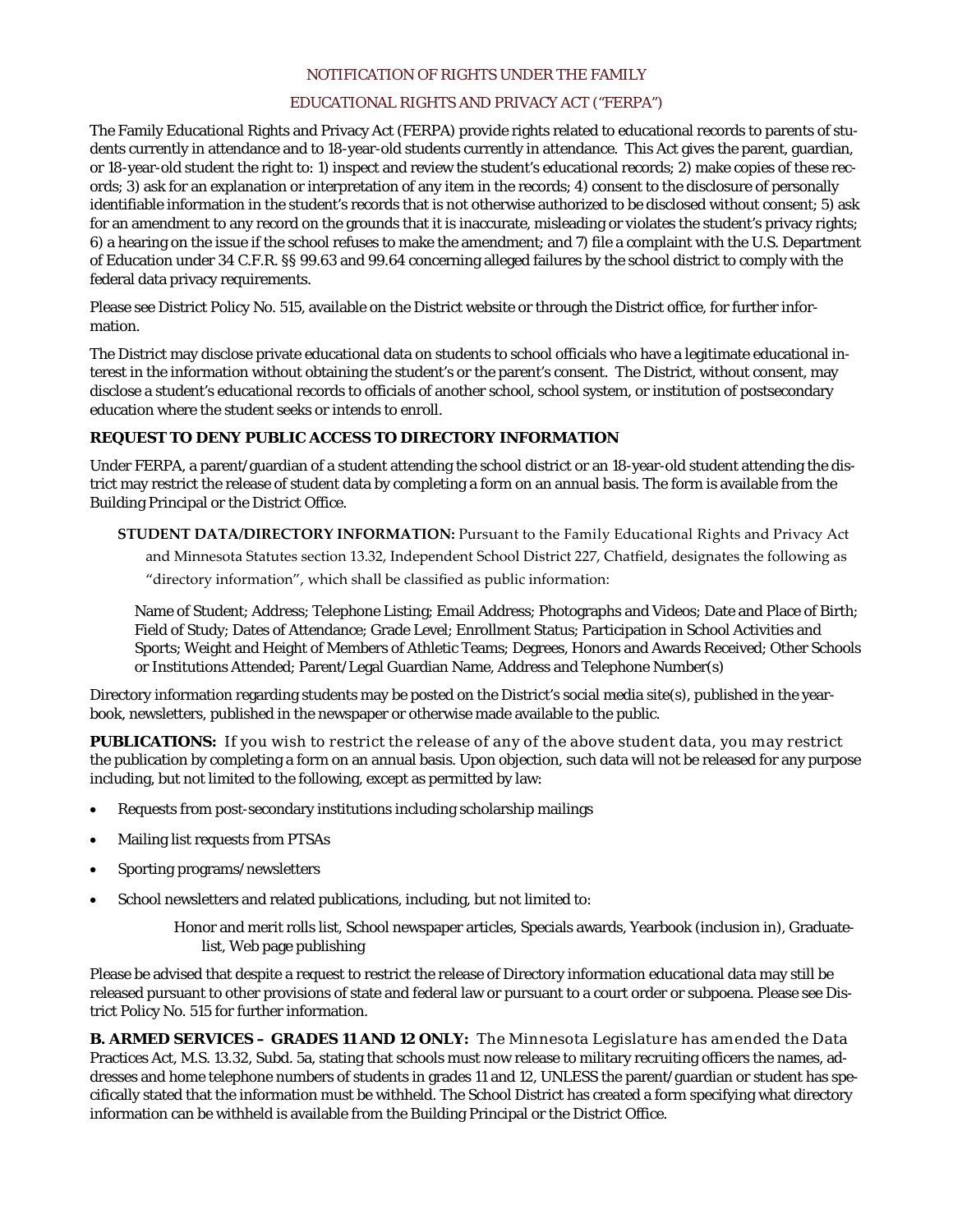#### NOTIFICATION OF RIGHTS UNDER THE FAMILY

### EDUCATIONAL RIGHTS AND PRIVACY ACT ("FERPA")

The Family Educational Rights and Privacy Act (FERPA) provide rights related to educational records to parents of students currently in attendance and to 18-year-old students currently in attendance. This Act gives the parent, guardian, or 18-year-old student the right to: 1) inspect and review the student's educational records; 2) make copies of these records; 3) ask for an explanation or interpretation of any item in the records; 4) consent to the disclosure of personally identifiable information in the student's records that is not otherwise authorized to be disclosed without consent; 5) ask for an amendment to any record on the grounds that it is inaccurate, misleading or violates the student's privacy rights; 6) a hearing on the issue if the school refuses to make the amendment; and 7) file a complaint with the U.S. Department of Education under 34 C.F.R. §§ 99.63 and 99.64 concerning alleged failures by the school district to comply with the federal data privacy requirements.

Please see District Policy No. 515, available on the District website or through the District office, for further information.

The District may disclose private educational data on students to school officials who have a legitimate educational interest in the information without obtaining the student's or the parent's consent. The District, without consent, may disclose a student's educational records to officials of another school, school system, or institution of postsecondary education where the student seeks or intends to enroll.

### **REQUEST TO DENY PUBLIC ACCESS TO DIRECTORY INFORMATION**

Under FERPA, a parent/guardian of a student attending the school district or an 18-year-old student attending the district may restrict the release of student data by completing a form on an annual basis. The form is available from the Building Principal or the District Office.

**STUDENT DATA/DIRECTORY INFORMATION:** Pursuant to the Family Educational Rights and Privacy Act and Minnesota Statutes section 13.32, Independent School District 227, Chatfield, designates the following as "directory information", which shall be classified as public information:

 Name of Student; Address; Telephone Listing; Email Address; Photographs and Videos; Date and Place of Birth; Field of Study; Dates of Attendance; Grade Level; Enrollment Status; Participation in School Activities and Sports; Weight and Height of Members of Athletic Teams; Degrees, Honors and Awards Received; Other Schools or Institutions Attended; Parent/Legal Guardian Name, Address and Telephone Number(s)

Directory information regarding students may be posted on the District's social media site(s), published in the yearbook, newsletters, published in the newspaper or otherwise made available to the public.

**PUBLICATIONS:** If you wish to restrict the release of any of the above student data, you may restrict the publication by completing a form on an annual basis. Upon objection, such data will not be released for any purpose including, but not limited to the following, except as permitted by law:

- Requests from post-secondary institutions including scholarship mailings
- Mailing list requests from PTSAs
- Sporting programs/newsletters
- School newsletters and related publications, including, but not limited to:
	- Honor and merit rolls list, School newspaper articles, Specials awards, Yearbook (inclusion in), Graduatelist, Web page publishing

Please be advised that despite a request to restrict the release of Directory information educational data may still be released pursuant to other provisions of state and federal law or pursuant to a court order or subpoena. Please see District Policy No. 515 for further information.

**B. ARMED SERVICES – GRADES 11 AND 12 ONLY:** The Minnesota Legislature has amended the Data Practices Act, M.S. 13.32, Subd. 5a, stating that schools must now release to military recruiting officers the names, addresses and home telephone numbers of students in grades 11 and 12, UNLESS the parent/guardian or student has specifically stated that the information must be withheld. The School District has created a form specifying what directory information can be withheld is available from the Building Principal or the District Office.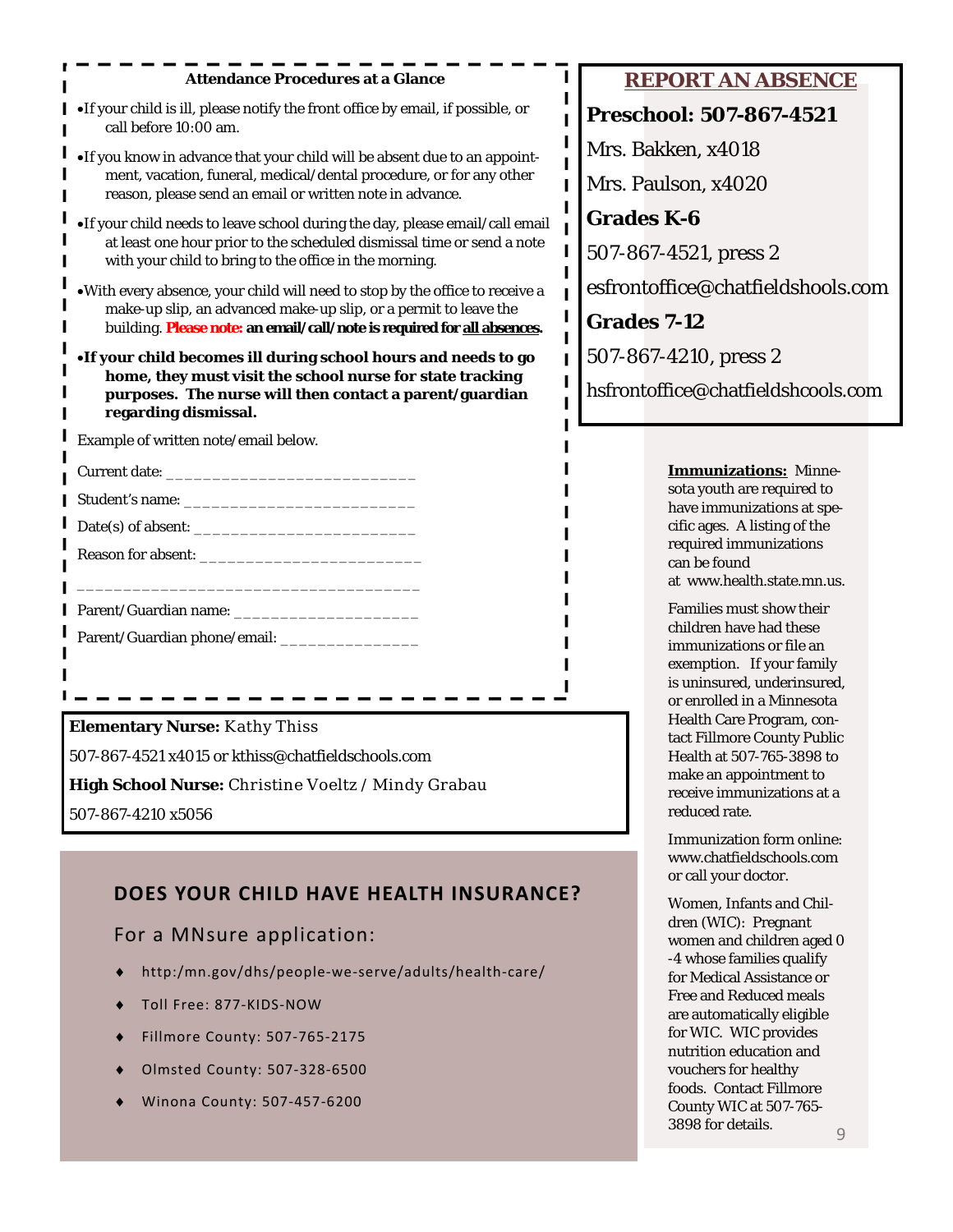| <b>Attendance Procedures at a Glance</b>                                                                                                                                                                                     | <b>REPORT AN ABSENCE</b>                                                                                                                      |
|------------------------------------------------------------------------------------------------------------------------------------------------------------------------------------------------------------------------------|-----------------------------------------------------------------------------------------------------------------------------------------------|
| . If your child is ill, please notify the front office by email, if possible, or<br>call before 10:00 am.                                                                                                                    | <b>Preschool: 507-867-4521</b>                                                                                                                |
| •If you know in advance that your child will be absent due to an appoint-<br>ment, vacation, funeral, medical/dental procedure, or for any other<br>reason, please send an email or written note in advance.                 | Mrs. Bakken, x4018<br>Mrs. Paulson, x4020                                                                                                     |
| •If your child needs to leave school during the day, please email/call email<br>at least one hour prior to the scheduled dismissal time or send a note<br>with your child to bring to the office in the morning.             | <b>Grades K-6</b><br>507-867-4521, press 2                                                                                                    |
| . With every absence, your child will need to stop by the office to receive a<br>make-up slip, an advanced make-up slip, or a permit to leave the<br>building. Please note: an email/call/note is required for all absences. | esfrontoffice@chatfieldshools.com<br><b>Grades 7-12</b>                                                                                       |
| •If your child becomes ill during school hours and needs to go<br>home, they must visit the school nurse for state tracking<br>purposes. The nurse will then contact a parent/guardian<br>regarding dismissal.               | 507-867-4210, press 2<br>hsfrontoffice@chatfieldshcools.com                                                                                   |
| Example of written note/email below.                                                                                                                                                                                         |                                                                                                                                               |
|                                                                                                                                                                                                                              | <b>Immunizations: Minne-</b>                                                                                                                  |
|                                                                                                                                                                                                                              | sota youth are required to<br>have immunizations at spe-                                                                                      |
|                                                                                                                                                                                                                              | cific ages. A listing of the                                                                                                                  |
|                                                                                                                                                                                                                              | required immunizations<br>can be found<br>at www.health.state.mn.us.                                                                          |
|                                                                                                                                                                                                                              | Families must show their                                                                                                                      |
|                                                                                                                                                                                                                              | children have had these<br>immunizations or file an<br>exemption. If your family<br>is uninsured, underinsured,<br>or enrolled in a Minnesota |
| <b>Elementary Nurse: Kathy Thiss</b>                                                                                                                                                                                         | Health Care Program, con-<br>tact Fillmore County Public                                                                                      |
| 507-867-4521 x4015 or kthiss@chatfieldschools.com                                                                                                                                                                            | Health at 507-765-3898 to                                                                                                                     |
| High School Nurse: Christine Voeltz / Mindy Grabau                                                                                                                                                                           | make an appointment to<br>receive immunizations at a                                                                                          |
| 507-867-4210 x5056                                                                                                                                                                                                           | reduced rate.                                                                                                                                 |

Immunization form online: www.chatfieldschools.com or call your doctor.

Women, Infants and Children (WIC): Pregnant women and children aged 0 -4 whose families qualify for Medical Assistance or Free and Reduced meals are automatically eligible for WIC. WIC provides nutrition education and vouchers for healthy foods. Contact Fillmore County WIC at 507-765- 3898 for details.  $\qquad \qquad \circ$ 

## **DOES YOUR CHILD HAVE HEALTH INSURANCE?**

## For a MNsure application:

- http:/mn.gov/dhs/people‐we‐serve/adults/health‐care/
- Toll Free: 877‐KIDS‐NOW
- Fillmore County: 507‐765‐2175
- Olmsted County: 507‐328‐6500
- Winona County: 507‐457‐6200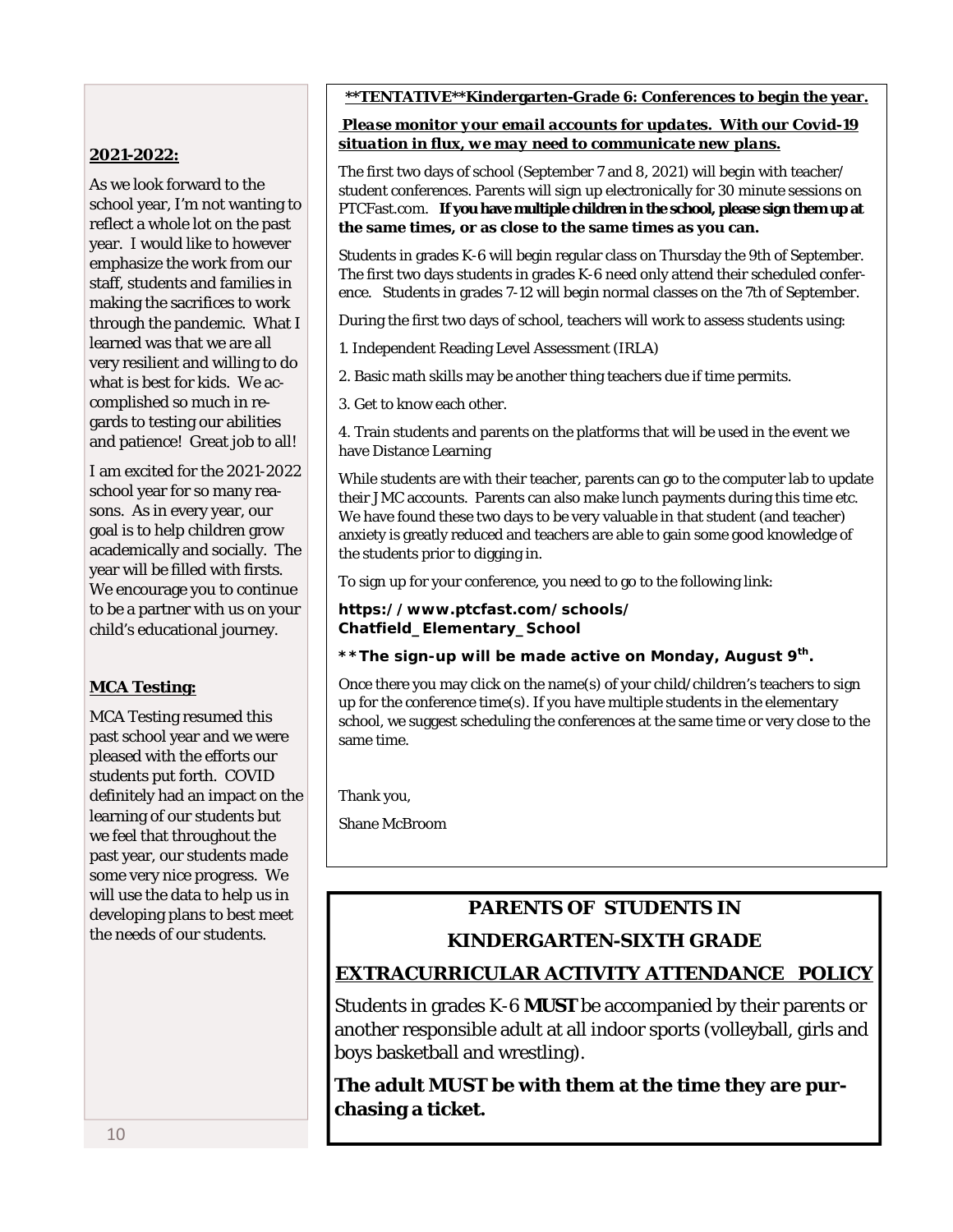## **\*\*TENTATIVE\*\*Kindergarten-Grade 6: Conferences to begin the year.**

## **2021-2022:**

As we look forward to the school year, I'm not wanting to reflect a whole lot on the past year. I would like to however emphasize the work from our staff, students and families in making the sacrifices to work through the pandemic. What I learned was that we are all very resilient and willing to do what is best for kids. We accomplished so much in regards to testing our abilities and patience! Great job to all!

I am excited for the 2021-2022 school year for so many reasons. As in every year, our goal is to help children grow academically and socially. The year will be filled with firsts. We encourage you to continue to be a partner with us on your child's educational journey.

## **MCA Testing:**

MCA Testing resumed this past school year and we were pleased with the efforts our students put forth. COVID definitely had an impact on the learning of our students but we feel that throughout the past year, our students made some very nice progress. We will use the data to help us in developing plans to best meet the needs of our students.

### *Please monitor your email accounts for updates. With our Covid-19 situation in flux, we may need to communicate new plans.*

The first two days of school (September 7 and 8, 2021) will begin with teacher/ student conferences. Parents will sign up electronically for 30 minute sessions on PTCFast.com. **If you have multiple children in the school, please sign them up at the same times, or as close to the same times as you can.**

Students in grades K-6 will begin regular class on Thursday the 9th of September. The first two days students in grades K-6 need only attend their scheduled conference. Students in grades 7-12 will begin normal classes on the 7th of September.

During the first two days of school, teachers will work to assess students using:

1. Independent Reading Level Assessment (IRLA)

2. Basic math skills may be another thing teachers due if time permits.

3. Get to know each other.

4. Train students and parents on the platforms that will be used in the event we have Distance Learning

While students are with their teacher, parents can go to the computer lab to update their JMC accounts. Parents can also make lunch payments during this time etc. We have found these two days to be very valuable in that student (and teacher) anxiety is greatly reduced and teachers are able to gain some good knowledge of the students prior to digging in.

To sign up for your conference, you need to go to the following link:

### **https://www.ptcfast.com/schools/ Chatfield\_Elementary\_School**

**\*\*The sign-up will be made active on Monday, August 9th.**

Once there you may click on the name(s) of your child/children's teachers to sign up for the conference time(s). If you have multiple students in the elementary school, we suggest scheduling the conferences at the same time or very close to the same time.

Thank you,

Shane McBroom

## **PARENTS OF STUDENTS IN**

## **KINDERGARTEN-SIXTH GRADE**

## **EXTRACURRICULAR ACTIVITY ATTENDANCE POLICY**

Students in grades K-6 **MUST** be accompanied by their parents or another responsible adult at all indoor sports (volleyball, girls and boys basketball and wrestling).

**The adult MUST be with them at the time they are purchasing a ticket.**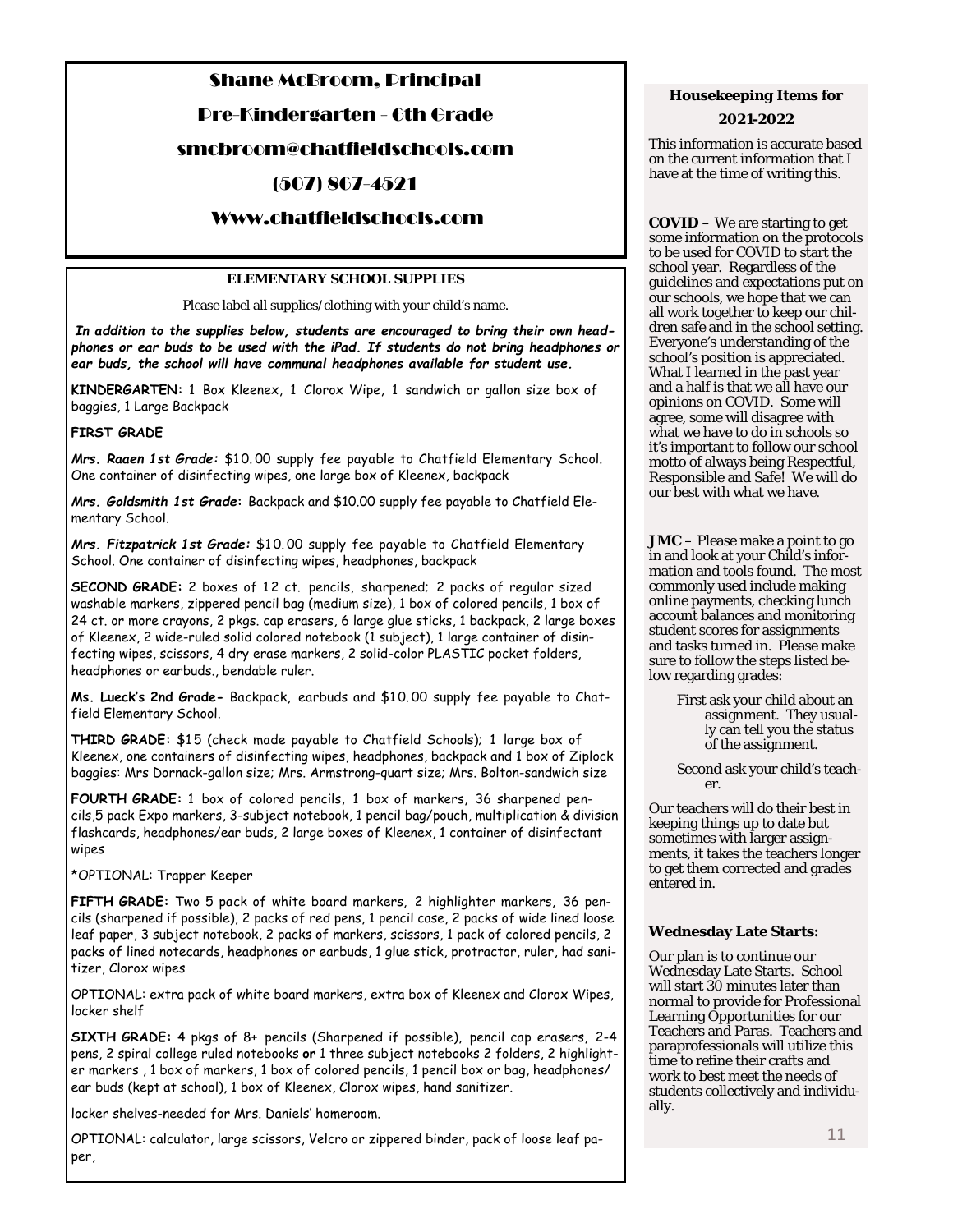## Shane McBroom, Principal

Pre-Kindergarten - 6th Grade

## smcbroom@chatfieldschools.com

## (507) 867-4521

## Www.chatfieldschools.com

#### **ELEMENTARY SCHOOL SUPPLIES**

Please label all supplies/clothing with your child's name.

*In addition to the supplies below, students are encouraged to bring their own headphones or ear buds to be used with the iPad. If students do not bring headphones or ear buds, the school will have communal headphones available for student use.* 

**KINDERGARTEN:** 1 Box Kleenex, 1 Clorox Wipe, 1 sandwich or gallon size box of baggies, 1 Large Backpack

#### **FIRST GRADE**

*Mrs. Raaen 1st Grade:* \$1 0. 00 supply fee payable to Chatfield Elementary School. One container of disinfecting wipes, one large box of Kleenex, backpack

*Mrs. Goldsmith 1st Grade***:** Backpack and \$10.00 supply fee payable to Chatfield Elementary School.

*Mrs. Fitzpatrick 1st Grade:* \$1 0. 00 supply fee payable to Chatfield Elementary School. One container of disinfecting wipes, headphones, backpack

**SECOND GRADE:** 2 boxes of 12 ct. pencils, sharpened; 2 packs of regular sized washable markers, zippered pencil bag (medium size), 1 box of colored pencils, 1 box of 24 ct. or more crayons, 2 pkgs. cap erasers, 6 large glue sticks, 1 backpack, 2 large boxes of Kleenex, 2 wide-ruled solid colored notebook (1 subject), 1 large container of disinfecting wipes, scissors, 4 dry erase markers, 2 solid-color PLASTIC pocket folders, headphones or earbuds., bendable ruler.

**Ms. Lueck's 2nd Grade-** Backpack, earbuds and \$1 0. 00 supply fee payable to Chatfield Elementary School.

**THIRD GRADE:** \$15 (check made payable to Chatfield Schools); 1 large box of Kleenex, one containers of disinfecting wipes, headphones, backpack and 1 box of Ziplock baggies: Mrs Dornack-gallon size; Mrs. Armstrong-quart size; Mrs. Bolton-sandwich size

**FOURTH GRADE:** 1 box of colored pencils, 1 box of markers, 36 sharpened pencils,5 pack Expo markers, 3-subject notebook, 1 pencil bag/pouch, multiplication & division flashcards, headphones/ear buds, 2 large boxes of Kleenex, 1 container of disinfectant wipes

\*OPTIONAL: Trapper Keeper

**FIFTH GRADE:** Two 5 pack of white board markers, 2 highlighter markers, 36 pencils (sharpened if possible), 2 packs of red pens, 1 pencil case, 2 packs of wide lined loose leaf paper, 3 subject notebook, 2 packs of markers, scissors, 1 pack of colored pencils, 2 packs of lined notecards, headphones or earbuds, 1 glue stick, protractor, ruler, had sanitizer, Clorox wipes

OPTIONAL: extra pack of white board markers, extra box of Kleenex and Clorox Wipes, locker shelf

**SIXTH GRADE:** 4 pkgs of 8+ pencils (Sharpened if possible), pencil cap erasers, 2-4 pens, 2 spiral college ruled notebooks **or** 1 three subject notebooks 2 folders, 2 highlighter markers , 1 box of markers, 1 box of colored pencils, 1 pencil box or bag, headphones/ ear buds (kept at school), 1 box of Kleenex, Clorox wipes, hand sanitizer.

locker shelves-needed for Mrs. Daniels' homeroom.

OPTIONAL: calculator, large scissors, Velcro or zippered binder, pack of loose leaf paper,

### *Housekeeping Items for 2021-2022*

This information is accurate based on the current information that I have at the time of writing this.

**COVID** – We are starting to get some information on the protocols to be used for COVID to start the school year. Regardless of the guidelines and expectations put on our schools, we hope that we can all work together to keep our children safe and in the school setting. Everyone's understanding of the school's position is appreciated. What I learned in the past year and a half is that we all have our opinions on COVID. Some will agree, some will disagree with what we have to do in schools so it's important to follow our school motto of always being Respectful, Responsible and Safe! We will do our best with what we have.

**JMC** – Please make a point to go in and look at your Child's information and tools found. The most commonly used include making online payments, checking lunch account balances and monitoring student scores for assignments and tasks turned in. Please make sure to follow the steps listed below regarding grades:

- First ask your child about an assignment. They usually can tell you the status of the assignment.
- Second ask your child's teacher.

Our teachers will do their best in keeping things up to date but sometimes with larger assignments, it takes the teachers longer to get them corrected and grades entered in.

#### **Wednesday Late Starts:**

Our plan is to continue our Wednesday Late Starts. School will start 30 minutes later than normal to provide for Professional Learning Opportunities for our Teachers and Paras. Teachers and paraprofessionals will utilize this time to refine their crafts and work to best meet the needs of students collectively and individually.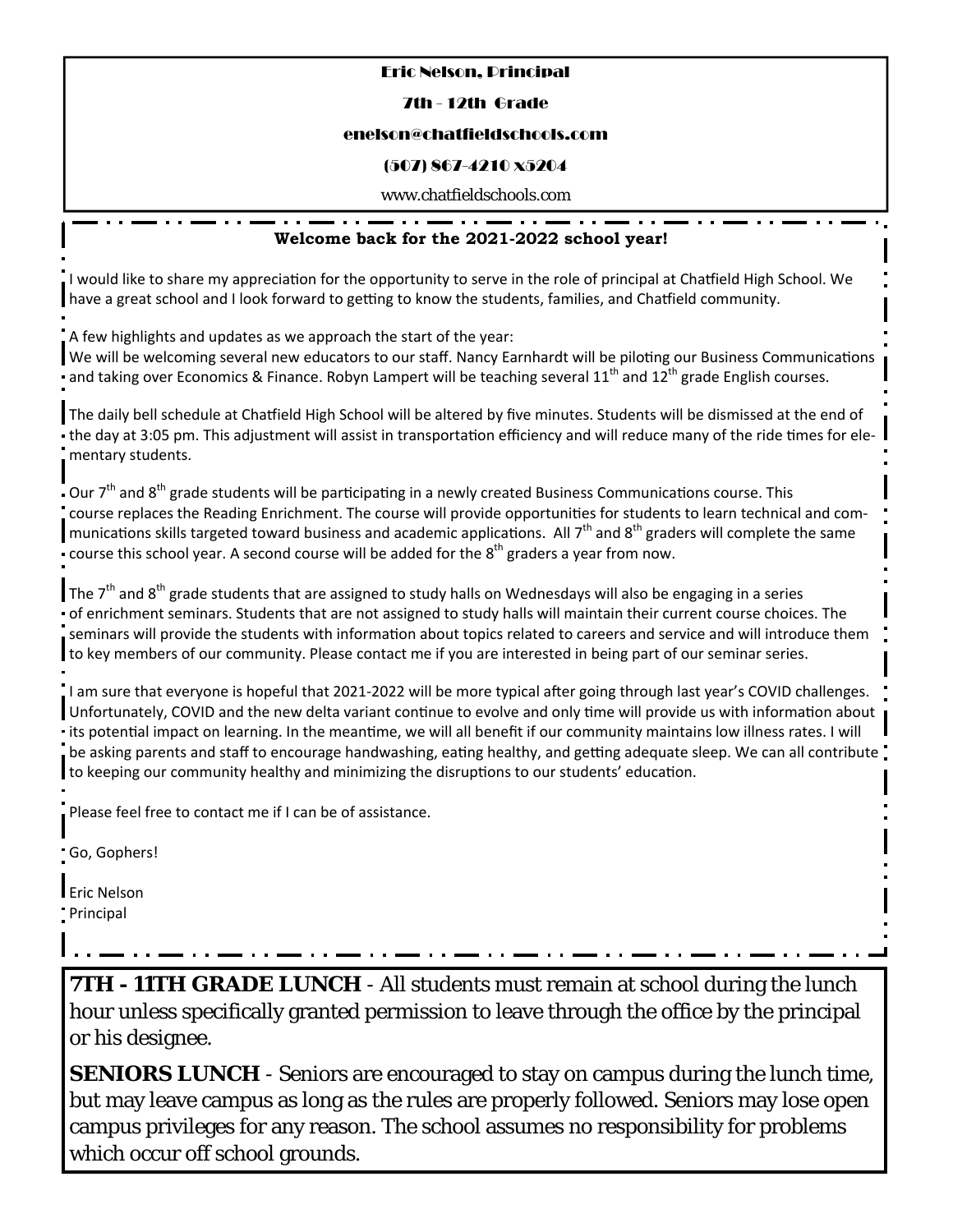## Eric Nelson, Principal

## 7th - 12th Grade

## enelson@chatfieldschools.com

## (507) 867-4210 x5204

www.chatfieldschools.com

## **Welcome back for the 2021-2022 school year!**

I would like to share my appreciation for the opportunity to serve in the role of principal at Chatfield High School. We have a great school and I look forward to getting to know the students, families, and Chatfield community.

A few highlights and updates as we approach the start of the year:

We will be welcoming several new educators to our staff. Nancy Earnhardt will be piloting our Business Communications and taking over Economics & Finance. Robyn Lampert will be teaching several  $11<sup>th</sup>$  and  $12<sup>th</sup>$  grade English courses.

The daily bell schedule at Chatfield High School will be altered by five minutes. Students will be dismissed at the end of the day at 3:05 pm. This adjustment will assist in transportation efficiency and will reduce many of the ride times for elementary students.

Our 7<sup>th</sup> and 8<sup>th</sup> grade students will be participating in a newly created Business Communications course. This course replaces the Reading Enrichment. The course will provide opportunities for students to learn technical and communications skills targeted toward business and academic applications. All  $7<sup>th</sup>$  and  $8<sup>th</sup>$  graders will complete the same course this school year. A second course will be added for the  $8^{th}$  graders a year from now.

The  $7<sup>th</sup>$  and  $8<sup>th</sup>$  grade students that are assigned to study halls on Wednesdays will also be engaging in a series of enrichment seminars. Students that are not assigned to study halls will maintain their current course choices. The seminars will provide the students with information about topics related to careers and service and will introduce them to key members of our community. Please contact me if you are interested in being part of our seminar series.

I am sure that everyone is hopeful that 2021-2022 will be more typical after going through last year's COVID challenges. Unfortunately, COVID and the new delta variant continue to evolve and only time will provide us with information about Its potential impact on learning. In the meantime, we will all benefit if our community maintains low illness rates. I will be asking parents and staff to encourage handwashing, eating healthy, and getting adequate sleep. We can all contribute to keeping our community healthy and minimizing the disruptions to our students' education.

Please feel free to contact me if I can be of assistance.

Go, Gophers!

Eric Nelson Principal

**7TH - 11TH GRADE LUNCH** - All students must remain at school during the lunch hour unless specifically granted permission to leave through the office by the principal or his designee.

**SENIORS LUNCH** - Seniors are encouraged to stay on campus during the lunch time, but may leave campus as long as the rules are properly followed. Seniors may lose open campus privileges for any reason. The school assumes no responsibility for problems which occur off school grounds.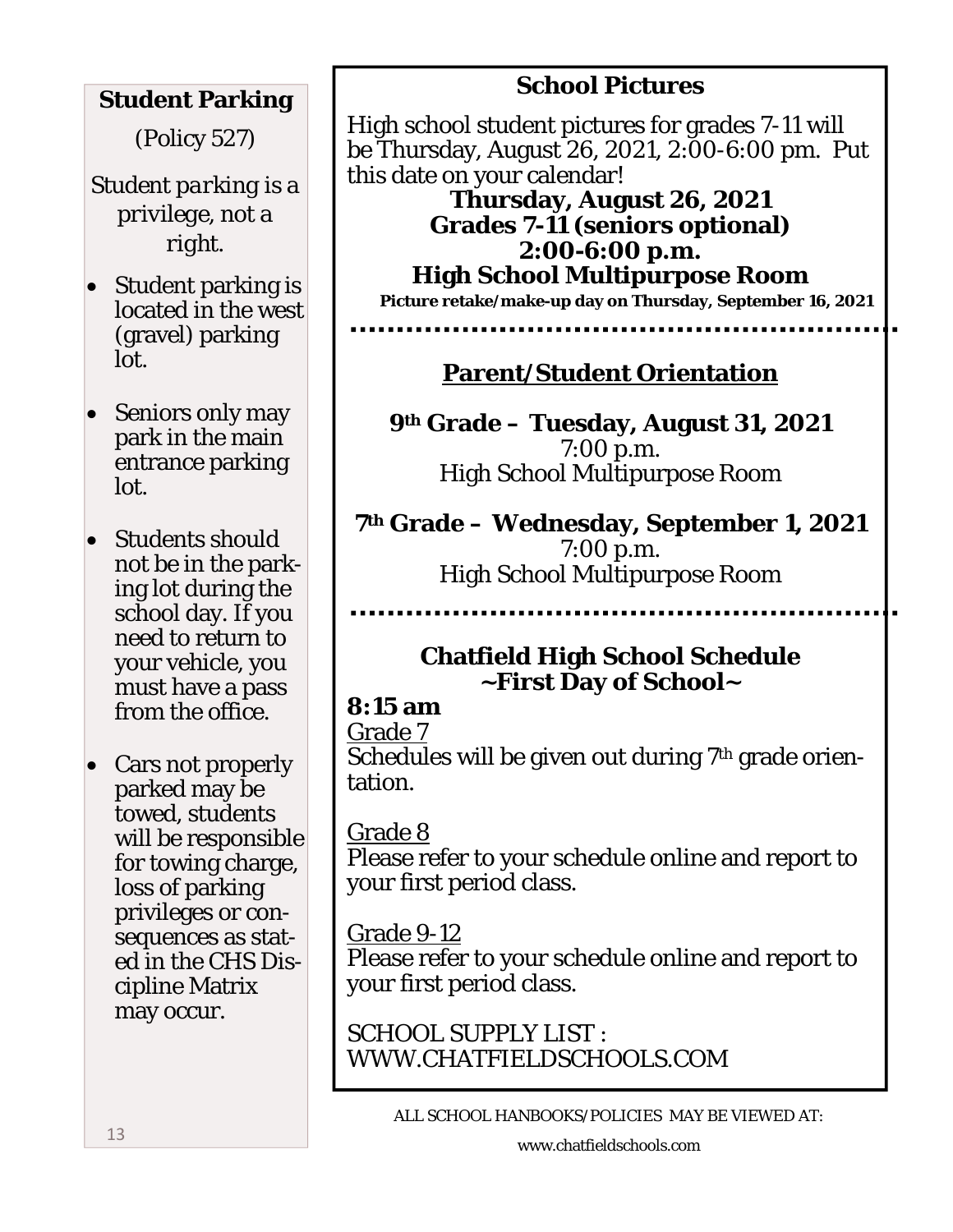# **Student Parking**

(Policy 527)

*Student parking is a privilege, not a right.* 

- Student parking is located in the west (gravel) parking lot.
- Seniors only may park in the main entrance parking lot.
- Students should not be in the parking lot during the school day. If you need to return to your vehicle, you must have a pass from the office.
- Cars not properly parked may be towed, students will be responsible for towing charge, loss of parking privileges or consequences as stated in the CHS Discipline Matrix may occur.

# **School Pictures**

High school student pictures for grades 7-11 will be Thursday, August 26, 2021, 2:00-6:00 pm. Put this date on your calendar!

**Thursday, August 26, 2021 Grades 7-11 (seniors optional) 2:00-6:00 p.m. High School Multipurpose Room** 

**Picture retake/make-up day on Thursday, September 16, 2021** 

# **Parent/Student Orientation**

**9th Grade – Tuesday, August 31, 2021**  7:00 p.m. High School Multipurpose Room

**7th Grade – Wednesday, September 1, 2021**  7:00 p.m. High School Multipurpose Room

> **Chatfield High School Schedule ~First Day of School~**

# **8:15 am**

Grade 7 Schedules will be given out during 7<sup>th</sup> grade orientation.

Grade 8 Please refer to your schedule online and report to your first period class.

# Grade 9-12

Please refer to your schedule online and report to your first period class.

SCHOOL SUPPLY LIST : WWW.CHATFIELDSCHOOLS.COM

ALL SCHOOL HANBOOKS/POLICIES MAY BE VIEWED AT: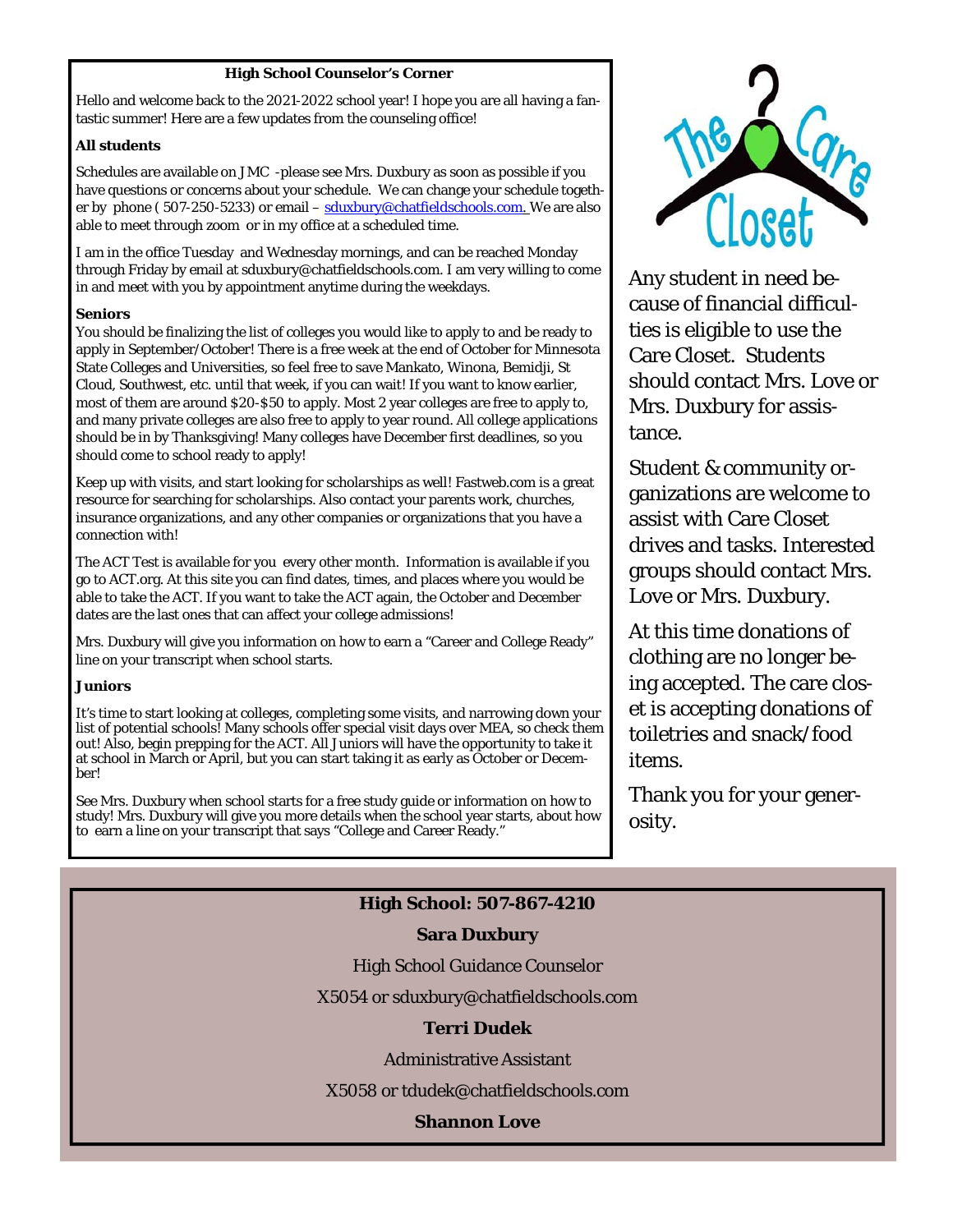### **High School Counselor's Corner**

Hello and welcome back to the 2021-2022 school year! I hope you are all having a fantastic summer! Here are a few updates from the counseling office!

#### **All students**

Schedules are available on JMC -please see Mrs. Duxbury as soon as possible if you have questions or concerns about your schedule. We can change your schedule together by phone (507-250-5233) or email – sduxbury@chatfieldschools.com. We are also able to meet through zoom or in my office at a scheduled time.

I am in the office Tuesday and Wednesday mornings, and can be reached Monday through Friday by email at sduxbury@chatfieldschools.com. I am very willing to come in and meet with you by appointment anytime during the weekdays.

#### **Seniors**

You should be finalizing the list of colleges you would like to apply to and be ready to apply in September/October! There is a free week at the end of October for Minnesota State Colleges and Universities, so feel free to save Mankato, Winona, Bemidji, St Cloud, Southwest, etc. until that week, if you can wait! If you want to know earlier, most of them are around \$20-\$50 to apply. Most 2 year colleges are free to apply to, and many private colleges are also free to apply to year round. All college applications should be in by Thanksgiving! Many colleges have December first deadlines, so you should come to school ready to apply!

Keep up with visits, and start looking for scholarships as well! Fastweb.com is a great resource for searching for scholarships. Also contact your parents work, churches, insurance organizations, and any other companies or organizations that you have a connection with!

The ACT Test is available for you every other month. Information is available if you go to ACT.org. At this site you can find dates, times, and places where you would be able to take the ACT. If you want to take the ACT again, the October and December dates are the last ones that can affect your college admissions!

Mrs. Duxbury will give you information on how to earn a "Career and College Ready" line on your transcript when school starts.

#### **Juniors**

It's time to start looking at colleges, completing some visits, and narrowing down your list of potential schools! Many schools offer special visit days over MEA, so check them out! Also, begin prepping for the ACT. All Juniors will have the opportunity to take it at school in March or April, but you can start taking it as early as October or December!

See Mrs. Duxbury when school starts for a free study guide or information on how to study! Mrs. Duxbury will give you more details when the school year starts, about how to earn a line on your transcript that says "College and Career Ready."



Any student in need because of financial difficulties is eligible to use the Care Closet. Students should contact Mrs. Love or Mrs. Duxbury for assistance.

Student & community organizations are welcome to assist with Care Closet drives and tasks. Interested groups should contact Mrs. Love or Mrs. Duxbury.

At this time donations of clothing are no longer being accepted. The care closet is accepting donations of toiletries and snack/food items.

Thank you for your generosity.

14

## **High School: 507-867-4210**

## **Sara Duxbury**

High School Guidance Counselor

X5054 or sduxbury@chatfieldschools.com

## **Terri Dudek**

Administrative Assistant

X5058 or tdudek@chatfieldschools.com

## **Shannon Love**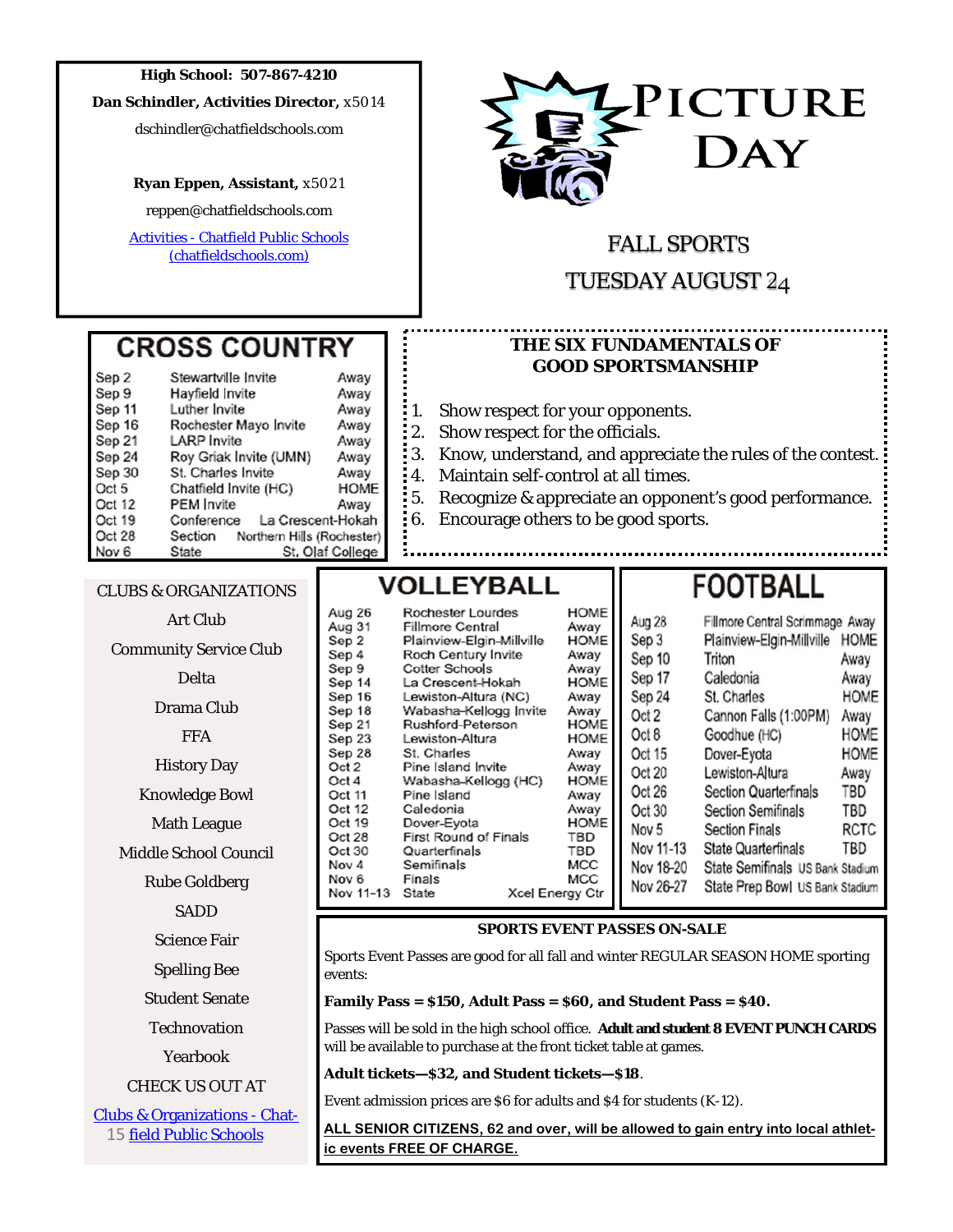#### **High School: 507-867-4210**

**Dan Schindler, Activities Director,** x5014

dschindler@chatfieldschools.com

#### **Ryan Eppen, Assistant,** x5021

reppen@chatfieldschools.com

Activities - Chatfield Public Schools (chatfieldschools.com)

**CROSS COUNTRY** 

Rochester Mayo Invite

Roy Griak Invite (UMN)

St. Charles Invite

Chatfield Invite (HC)

Away

Away

Away

Away

Away

Away

Away

**HOME** 

Away

La Crescent-Hokah

St. Olaf College

Section Northern Hills (Rochester)

Stewartville Invite

Hayfield Invite

Luther Invite

**LARP** Invite

PEM Invite

Conference



## FALL SPORTS

## TUESDAY AUGUST 24

## **THE SIX FUNDAMENTALS OF GOOD SPORTSMANSHIP**

- 1. Show respect for your opponents.
- 2. Show respect for the officials.
- 3. Know, understand, and appreciate the rules of the contest.
- 4. Maintain self-control at all times.
- 5. Recognize & appreciate an opponent's good performance.
- 6. Encourage others to be good sports.

## CLUBS & ORGANIZATIONS

**State** 

Sep<sub>2</sub>

Sep 9

Sep 11

Sep 16

Sep 21

Sep 24

Sep 30

Oct 5

Oct 12

Oct 19

Oct 28 Nov<sub>6</sub>

> Art Club Community Service Club Delta Drama Club FFA History Day Knowledge Bowl Math League Middle School Council Rube Goldberg SADD Science Fair Spelling Bee Student Senate **Technovation**

> > Yearbook

CHECK US OUT AT

Clubs & Organizations - Chat-15 field Public Schools

# **VOLLEYBALL**

| Aug 26    | <b>Rochester Lourdes</b>     |                        | HOME        |
|-----------|------------------------------|------------------------|-------------|
| Aug 31    | <b>Fillmore Central</b>      | Away                   |             |
| Sep 2     | Plainview-Elgin-Millville    | <b>HOME</b>            |             |
|           |                              |                        |             |
| Sep 4     | Roch Century Invite          |                        | Away        |
| Sep 9     | Cotter Schools               |                        | Away        |
| Sep 14    | La Crescent-Hokah            |                        | <b>HOME</b> |
| Sep 16    | Lewiston-Altura (NC)         |                        | Away        |
| Sep 18    | Wabasha-Kellogg Invite       |                        | Away        |
| Sep 21    | Rushford-Peterson            |                        | HOME        |
| Sep 23    | Lewiston-Altura              |                        | <b>HOME</b> |
| Sep 28    | St. Charles                  |                        | Away        |
| Oct 2     | Pine Island Invite           |                        | Away        |
| Oct 4     | Wabasha-Kellogg (HC)         | <b>HOME</b>            |             |
| Oct 11    | Pine Island                  |                        | Away        |
| Oct 12    | Caledonia                    |                        | Away        |
| Oct 19    | Dover-Eyota                  |                        | <b>HOME</b> |
| Oct 28    | <b>First Round of Finals</b> |                        | TBD         |
| Oct 30    | Quarterfinals                |                        | TBD         |
| Nov 4     | Semifinals                   |                        | MCC         |
| Nov 6     | Finals                       |                        | MCC         |
| Nov 11-13 | State                        | <b>Xcel Energy Ctr</b> |             |
|           |                              |                        |             |

# **FOOTBALL**

| Aug 28           | Fillmore Central Scrimmage Away  |             |
|------------------|----------------------------------|-------------|
| Sep 3            | Plainview-Elgin-Millville        | <b>HOME</b> |
| Sep 10           | Triton                           | Away        |
| Sep 17           | Caledonia                        | Away        |
| Sep 24           | St. Charles                      | <b>HOME</b> |
| Oct 2            | Cannon Falls (1:00PM)            | Away        |
| Oct 8            | Goodhue (HC)                     | HOME        |
| Oct 15           | Dover-Eyota                      | HOME        |
| Oct 20           | Lewiston-Altura                  | Away        |
| Oct 26           | <b>Section Quarterfinals</b>     | TBD         |
| Oct 30           | <b>Section Semifinals</b>        | TBD         |
| Nov <sub>5</sub> | <b>Section Finals</b>            | RCTC        |
| Nov 11-13        | <b>State Quarterfinals</b>       | TBD         |
| Nov 18-20        | State Semifinals US Bank Stadium |             |
| Nov 26-27        | State Prep Bowl US Bank Stadium  |             |

#### **SPORTS EVENT PASSES ON-SALE**

Sports Event Passes are good for all fall and winter REGULAR SEASON HOME sporting events:

**Family Pass = \$150, Adult Pass = \$60, and Student Pass = \$40.** 

Passes will be sold in the high school office. **Adult and student 8 EVENT PUNCH CARDS**  will be available to purchase at the front ticket table at games.

**Adult tickets—\$32, and Student tickets—\$18**.

Event admission prices are \$6 for adults and \$4 for students (K-12).

**ALL SENIOR CITIZENS, 62 and over, will be allowed to gain entry into local athletic events FREE OF CHARGE.**